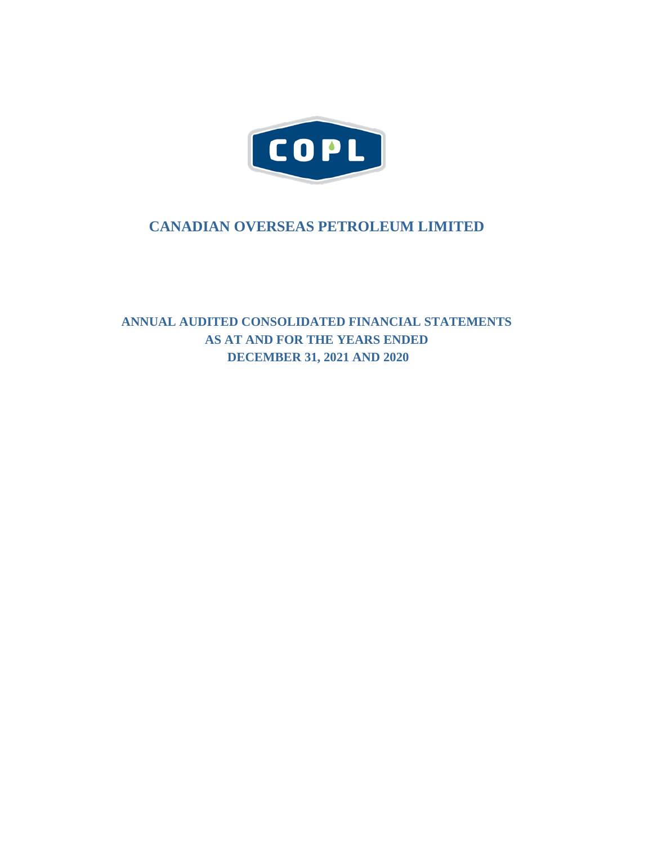

**ANNUAL AUDITED CONSOLIDATED FINANCIAL STATEMENTS AS AT AND FOR THE YEARS ENDED DECEMBER 31, 2021 AND 2020**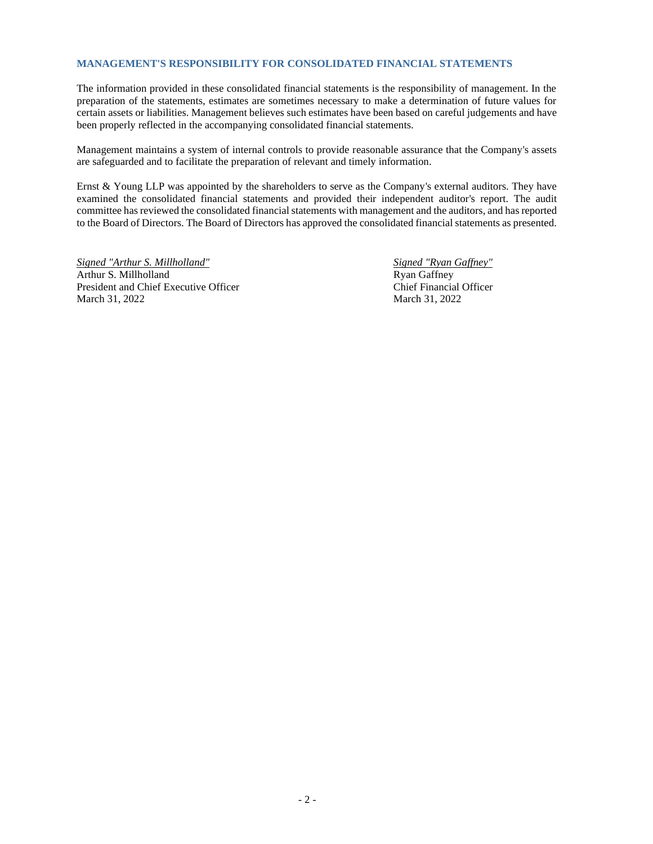#### **MANAGEMENT'S RESPONSIBILITY FOR CONSOLIDATED FINANCIAL STATEMENTS**

The information provided in these consolidated financial statements is the responsibility of management. In the preparation of the statements, estimates are sometimes necessary to make a determination of future values for certain assets or liabilities. Management believes such estimates have been based on careful judgements and have been properly reflected in the accompanying consolidated financial statements.

Management maintains a system of internal controls to provide reasonable assurance that the Company's assets are safeguarded and to facilitate the preparation of relevant and timely information.

Ernst & Young LLP was appointed by the shareholders to serve as the Company's external auditors. They have examined the consolidated financial statements and provided their independent auditor's report. The audit committee has reviewed the consolidated financial statements with management and the auditors, and has reported to the Board of Directors. The Board of Directors has approved the consolidated financial statements as presented.

*Signed "Arthur S. Millholland" Signed "Ryan Gaffney"* Arthur S. Millholland Ryan Gaffney President and Chief Executive Officer<br>
March 31, 2022<br>
March 31, 2022<br>
March 31, 2022 March 31, 2022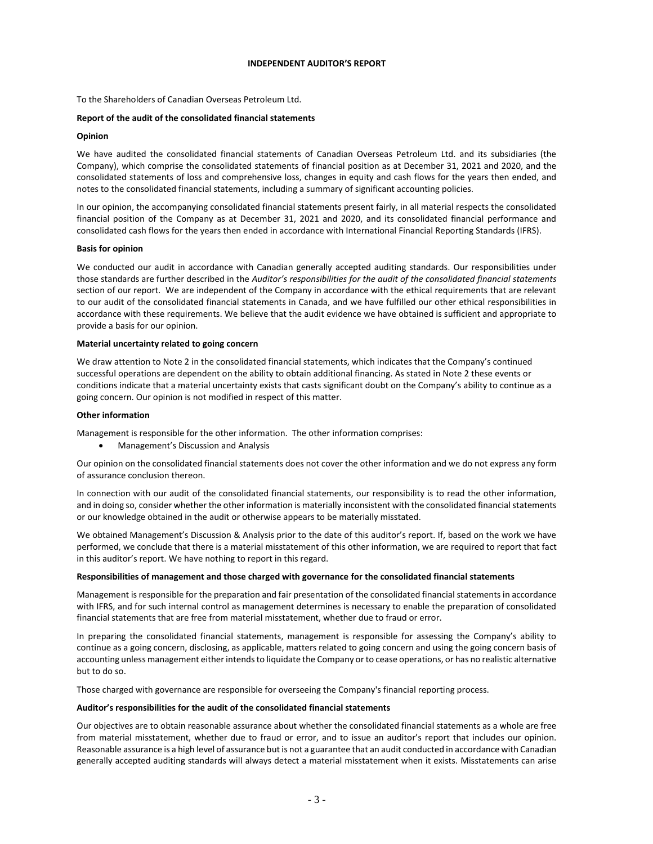#### **INDEPENDENT AUDITOR'S REPORT**

To the Shareholders of Canadian Overseas Petroleum Ltd.

#### **Report of the audit of the consolidated financial statements**

#### **Opinion**

We have audited the consolidated financial statements of Canadian Overseas Petroleum Ltd. and its subsidiaries (the Company), which comprise the consolidated statements of financial position as at December 31, 2021 and 2020, and the consolidated statements of loss and comprehensive loss, changes in equity and cash flows for the years then ended, and notes to the consolidated financial statements, including a summary of significant accounting policies.

In our opinion, the accompanying consolidated financial statements present fairly, in all material respects the consolidated financial position of the Company as at December 31, 2021 and 2020, and its consolidated financial performance and consolidated cash flows for the years then ended in accordance with International Financial Reporting Standards (IFRS).

#### **Basis for opinion**

We conducted our audit in accordance with Canadian generally accepted auditing standards. Our responsibilities under those standards are further described in the *Auditor's responsibilities for the audit of the consolidated financial statements*  section of our report. We are independent of the Company in accordance with the ethical requirements that are relevant to our audit of the consolidated financial statements in Canada, and we have fulfilled our other ethical responsibilities in accordance with these requirements. We believe that the audit evidence we have obtained is sufficient and appropriate to provide a basis for our opinion.

#### **Material uncertainty related to going concern**

We draw attention to Note 2 in the consolidated financial statements, which indicates that the Company's continued successful operations are dependent on the ability to obtain additional financing. As stated in Note 2 these events or conditions indicate that a material uncertainty exists that casts significant doubt on the Company's ability to continue as a going concern. Our opinion is not modified in respect of this matter.

#### **Other information**

Management is responsible for the other information. The other information comprises:

• Management's Discussion and Analysis

Our opinion on the consolidated financial statements does not cover the other information and we do not express any form of assurance conclusion thereon.

In connection with our audit of the consolidated financial statements, our responsibility is to read the other information, and in doing so, consider whether the other information is materially inconsistent with the consolidated financial statements or our knowledge obtained in the audit or otherwise appears to be materially misstated.

We obtained Management's Discussion & Analysis prior to the date of this auditor's report. If, based on the work we have performed, we conclude that there is a material misstatement of this other information, we are required to report that fact in this auditor's report. We have nothing to report in this regard.

#### **Responsibilities of management and those charged with governance for the consolidated financial statements**

Management is responsible for the preparation and fair presentation of the consolidated financial statements in accordance with IFRS, and for such internal control as management determines is necessary to enable the preparation of consolidated financial statements that are free from material misstatement, whether due to fraud or error.

In preparing the consolidated financial statements, management is responsible for assessing the Company's ability to continue as a going concern, disclosing, as applicable, matters related to going concern and using the going concern basis of accounting unless management either intends to liquidate the Company or to cease operations, or has no realistic alternative but to do so.

Those charged with governance are responsible for overseeing the Company's financial reporting process.

#### **Auditor's responsibilities for the audit of the consolidated financial statements**

Our objectives are to obtain reasonable assurance about whether the consolidated financial statements as a whole are free from material misstatement, whether due to fraud or error, and to issue an auditor's report that includes our opinion. Reasonable assurance is a high level of assurance but is not a guarantee that an audit conducted in accordance with Canadian generally accepted auditing standards will always detect a material misstatement when it exists. Misstatements can arise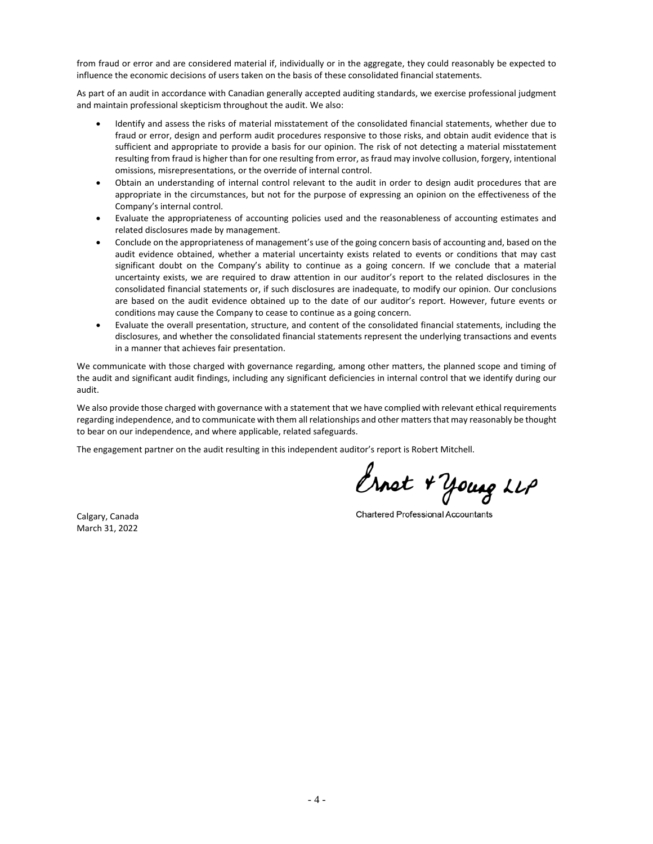from fraud or error and are considered material if, individually or in the aggregate, they could reasonably be expected to influence the economic decisions of users taken on the basis of these consolidated financial statements.

As part of an audit in accordance with Canadian generally accepted auditing standards, we exercise professional judgment and maintain professional skepticism throughout the audit. We also:

- Identify and assess the risks of material misstatement of the consolidated financial statements, whether due to fraud or error, design and perform audit procedures responsive to those risks, and obtain audit evidence that is sufficient and appropriate to provide a basis for our opinion. The risk of not detecting a material misstatement resulting from fraud is higher than for one resulting from error, as fraud may involve collusion, forgery, intentional omissions, misrepresentations, or the override of internal control.
- Obtain an understanding of internal control relevant to the audit in order to design audit procedures that are appropriate in the circumstances, but not for the purpose of expressing an opinion on the effectiveness of the Company's internal control.
- Evaluate the appropriateness of accounting policies used and the reasonableness of accounting estimates and related disclosures made by management.
- Conclude on the appropriateness of management's use of the going concern basis of accounting and, based on the audit evidence obtained, whether a material uncertainty exists related to events or conditions that may cast significant doubt on the Company's ability to continue as a going concern. If we conclude that a material uncertainty exists, we are required to draw attention in our auditor's report to the related disclosures in the consolidated financial statements or, if such disclosures are inadequate, to modify our opinion. Our conclusions are based on the audit evidence obtained up to the date of our auditor's report. However, future events or conditions may cause the Company to cease to continue as a going concern.
- Evaluate the overall presentation, structure, and content of the consolidated financial statements, including the disclosures, and whether the consolidated financial statements represent the underlying transactions and events in a manner that achieves fair presentation.

We communicate with those charged with governance regarding, among other matters, the planned scope and timing of the audit and significant audit findings, including any significant deficiencies in internal control that we identify during our audit.

We also provide those charged with governance with a statement that we have complied with relevant ethical requirements regarding independence, and to communicate with them all relationships and other matters that may reasonably be thought to bear on our independence, and where applicable, related safeguards.

The engagement partner on the audit resulting in this independent auditor's report is Robert Mitchell.

Ernst + Young LLP

Calgary, Canada March 31, 2022

**Chartered Professional Accountants**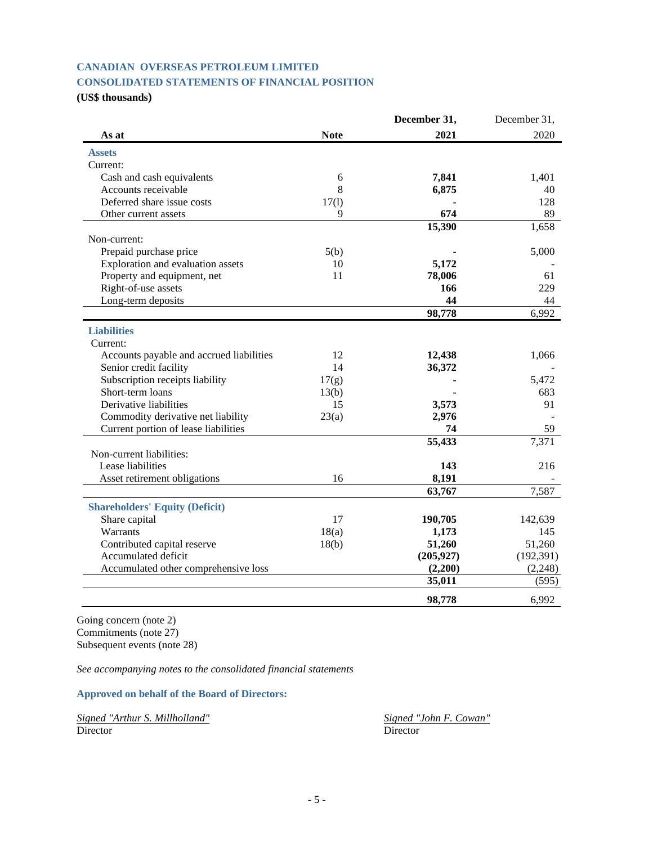# **CANADIAN OVERSEAS PETROLEUM LIMITED CONSOLIDATED STATEMENTS OF FINANCIAL POSITION**

### **(US\$ thousands)**

|                                          |             | December 31, | December 31, |
|------------------------------------------|-------------|--------------|--------------|
| As at                                    | <b>Note</b> | 2021         | 2020         |
| <b>Assets</b>                            |             |              |              |
| Current:                                 |             |              |              |
| Cash and cash equivalents                | 6           | 7,841        | 1,401        |
| Accounts receivable                      | 8           | 6,875        | 40           |
| Deferred share issue costs               | 17(1)       |              | 128          |
| Other current assets                     | 9           | 674          | 89           |
|                                          |             | 15,390       | 1,658        |
| Non-current:                             |             |              |              |
| Prepaid purchase price                   | 5(b)        |              | 5,000        |
| Exploration and evaluation assets        | 10          | 5,172        |              |
| Property and equipment, net              | 11          | 78,006       | 61           |
| Right-of-use assets                      |             | 166          | 229          |
| Long-term deposits                       |             | 44           | 44           |
|                                          |             | 98,778       | 6,992        |
| <b>Liabilities</b>                       |             |              |              |
| Current:                                 |             |              |              |
| Accounts payable and accrued liabilities | 12          | 12,438       | 1,066        |
| Senior credit facility                   | 14          | 36,372       |              |
| Subscription receipts liability          | 17(g)       |              | 5,472        |
| Short-term loans                         | 13(b)       |              | 683          |
| Derivative liabilities                   | 15          | 3,573        | 91           |
| Commodity derivative net liability       | 23(a)       | 2,976        |              |
| Current portion of lease liabilities     |             | 74           | 59           |
|                                          |             | 55,433       | 7,371        |
| Non-current liabilities:                 |             |              |              |
| Lease liabilities                        |             | 143          | 216          |
| Asset retirement obligations             | 16          | 8,191        |              |
|                                          |             | 63,767       | 7,587        |
| <b>Shareholders' Equity (Deficit)</b>    |             |              |              |
| Share capital                            | 17          | 190,705      | 142,639      |
| Warrants                                 | 18(a)       | 1,173        | 145          |
| Contributed capital reserve              | 18(b)       | 51,260       | 51,260       |
| Accumulated deficit                      |             | (205, 927)   | (192, 391)   |
| Accumulated other comprehensive loss     |             | (2,200)      | (2, 248)     |
|                                          |             | 35,011       | (595)        |
|                                          |             | 98,778       | 6,992        |

Going concern (note 2) Commitments (note 27) Subsequent events (note 28)

*See accompanying notes to the consolidated financial statements*

## **Approved on behalf of the Board of Directors:**

*Signed "Arthur S. Millholland" Signed "John F. Cowan"* Director Director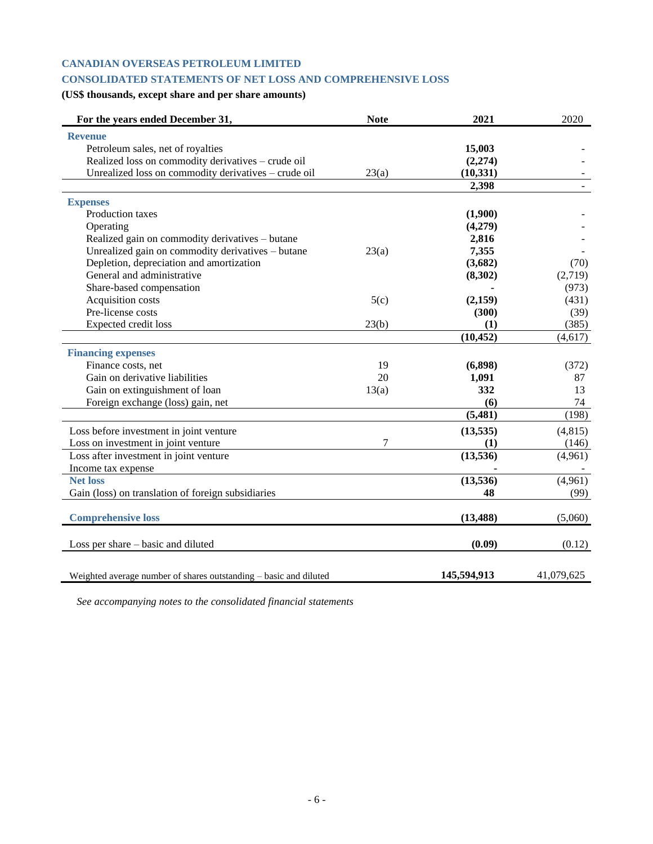# **CONSOLIDATED STATEMENTS OF NET LOSS AND COMPREHENSIVE LOSS**

# **(US\$ thousands, except share and per share amounts)**

| For the years ended December 31,                                  | <b>Note</b> | 2021        | 2020       |
|-------------------------------------------------------------------|-------------|-------------|------------|
| <b>Revenue</b>                                                    |             |             |            |
| Petroleum sales, net of royalties                                 |             | 15,003      |            |
| Realized loss on commodity derivatives - crude oil                |             | (2,274)     |            |
| Unrealized loss on commodity derivatives - crude oil              | 23(a)       | (10, 331)   |            |
|                                                                   |             | 2,398       |            |
| <b>Expenses</b>                                                   |             |             |            |
| Production taxes                                                  |             | (1,900)     |            |
| Operating                                                         |             | (4,279)     |            |
| Realized gain on commodity derivatives – butane                   |             | 2,816       |            |
| Unrealized gain on commodity derivatives – butane                 | 23(a)       | 7,355       |            |
| Depletion, depreciation and amortization                          |             | (3,682)     | (70)       |
| General and administrative                                        |             | (8,302)     | (2,719)    |
| Share-based compensation                                          |             |             | (973)      |
| Acquisition costs                                                 | 5(c)        | (2,159)     | (431)      |
| Pre-license costs                                                 |             | (300)       | (39)       |
| Expected credit loss                                              | 23(b)       | (1)         | (385)      |
|                                                                   |             | (10, 452)   | (4,617)    |
| <b>Financing expenses</b>                                         |             |             |            |
| Finance costs, net                                                | 19          | (6,898)     | (372)      |
| Gain on derivative liabilities                                    | 20          | 1,091       | 87         |
| Gain on extinguishment of loan                                    | 13(a)       | 332         | 13         |
| Foreign exchange (loss) gain, net                                 |             | (6)         | 74         |
|                                                                   |             | (5,481)     | (198)      |
| Loss before investment in joint venture                           |             | (13, 535)   | (4, 815)   |
| Loss on investment in joint venture                               | 7           | (1)         | (146)      |
| Loss after investment in joint venture                            |             | (13,536)    | (4,961)    |
| Income tax expense                                                |             |             |            |
| <b>Net loss</b>                                                   |             | (13, 536)   | (4,961)    |
| Gain (loss) on translation of foreign subsidiaries                |             | 48          | (99)       |
| <b>Comprehensive loss</b>                                         |             | (13, 488)   | (5,060)    |
| Loss per share – basic and diluted                                |             | (0.09)      | (0.12)     |
| Weighted average number of shares outstanding - basic and diluted |             | 145,594,913 | 41,079,625 |

*See accompanying notes to the consolidated financial statements*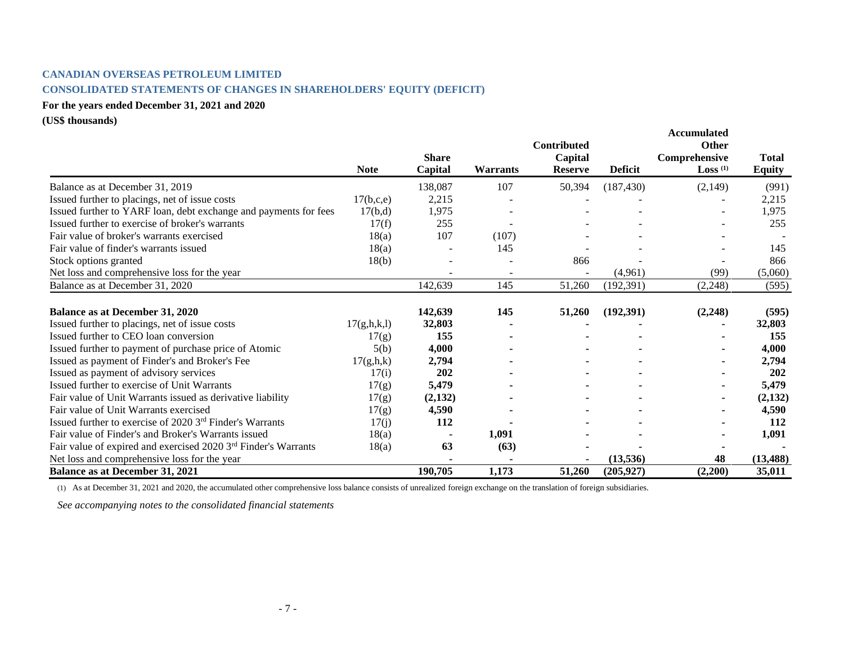## **CONSOLIDATED STATEMENTS OF CHANGES IN SHAREHOLDERS' EQUITY (DEFICIT)**

## **For the years ended December 31, 2021 and 2020**

**(US\$ thousands)**

|                                                                      |             |                         |                 | <b>Contributed</b>        |                | <b>Accumulated</b><br>Other          |                               |
|----------------------------------------------------------------------|-------------|-------------------------|-----------------|---------------------------|----------------|--------------------------------------|-------------------------------|
|                                                                      | <b>Note</b> | <b>Share</b><br>Capital | <b>Warrants</b> | Capital<br><b>Reserve</b> | <b>Deficit</b> | Comprehensive<br>$\text{Loss}^{(1)}$ | <b>Total</b><br><b>Equity</b> |
| Balance as at December 31, 2019                                      |             | 138,087                 | 107             | 50,394                    | (187, 430)     | (2,149)                              | (991)                         |
| Issued further to placings, net of issue costs                       | 17(b,c,e)   | 2,215                   |                 |                           |                |                                      | 2,215                         |
| Issued further to YARF loan, debt exchange and payments for fees     | 17(b,d)     | 1,975                   |                 |                           |                |                                      | 1,975                         |
| Issued further to exercise of broker's warrants                      | 17(f)       | 255                     |                 |                           |                |                                      | 255                           |
| Fair value of broker's warrants exercised                            | 18(a)       | 107                     | (107)           |                           |                |                                      |                               |
| Fair value of finder's warrants issued                               | 18(a)       |                         | 145             |                           |                |                                      | 145                           |
| Stock options granted                                                | 18(b)       |                         |                 | 866                       |                |                                      | 866                           |
| Net loss and comprehensive loss for the year                         |             |                         |                 |                           | (4,961)        | (99)                                 | (5,060)                       |
| Balance as at December 31, 2020                                      |             | 142,639                 | 145             | 51,260                    | (192, 391)     | (2, 248)                             | (595)                         |
|                                                                      |             |                         |                 |                           |                |                                      |                               |
| <b>Balance as at December 31, 2020</b>                               |             | 142,639                 | 145             | 51,260                    | (192,391)      | (2,248)                              | (595)                         |
| Issued further to placings, net of issue costs                       | 17(g,h,k,l) | 32,803                  |                 |                           |                |                                      | 32,803                        |
| Issued further to CEO loan conversion                                | 17(g)       | 155                     |                 |                           |                |                                      | 155                           |
| Issued further to payment of purchase price of Atomic                | 5(b)        | 4,000                   |                 |                           |                |                                      | 4,000                         |
| Issued as payment of Finder's and Broker's Fee                       | 17(g,h,k)   | 2,794                   |                 |                           |                |                                      | 2,794                         |
| Issued as payment of advisory services                               | 17(i)       | 202                     |                 |                           |                |                                      | 202                           |
| Issued further to exercise of Unit Warrants                          | 17(g)       | 5,479                   |                 |                           |                |                                      | 5,479                         |
| Fair value of Unit Warrants issued as derivative liability           | 17(g)       | (2,132)                 |                 |                           |                |                                      | (2,132)                       |
| Fair value of Unit Warrants exercised                                | 17(g)       | 4,590                   |                 |                           |                |                                      | 4,590                         |
| Issued further to exercise of 2020 3 <sup>rd</sup> Finder's Warrants | 17(j)       | 112                     |                 |                           |                |                                      | 112                           |
| Fair value of Finder's and Broker's Warrants issued                  | 18(a)       | $\blacksquare$          | 1,091           |                           |                |                                      | 1,091                         |
| Fair value of expired and exercised 2020 3rd Finder's Warrants       | 18(a)       | 63                      | (63)            |                           |                |                                      |                               |
| Net loss and comprehensive loss for the year                         |             |                         |                 |                           | (13,536)       | 48                                   | (13, 488)                     |
| <b>Balance as at December 31, 2021</b>                               |             | 190,705                 | 1,173           | 51,260                    | (205, 927)     | (2,200)                              | 35,011                        |

(1) As at December 31, 2021 and 2020, the accumulated other comprehensive loss balance consists of unrealized foreign exchange on the translation of foreign subsidiaries.

*See accompanying notes to the consolidated financial statements*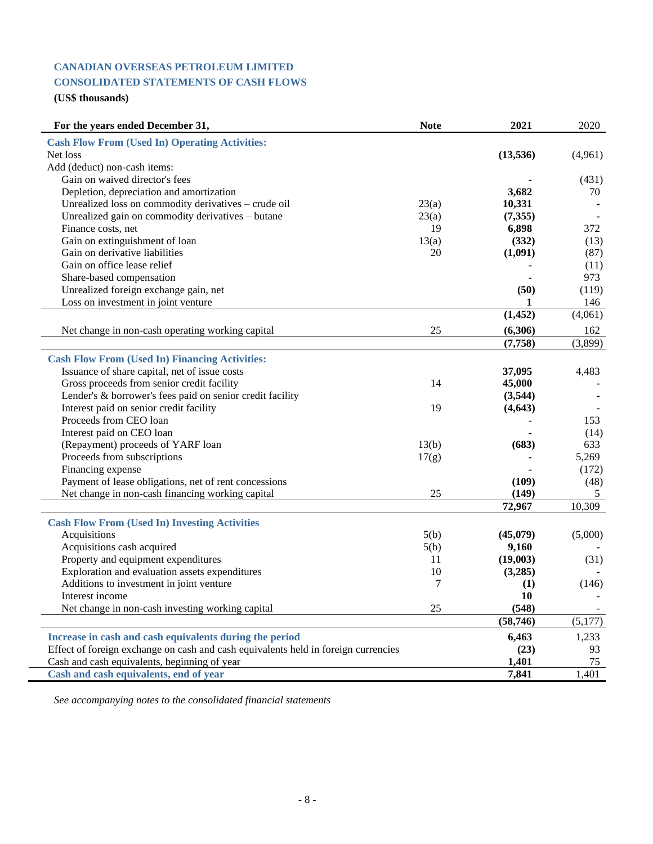# **CONSOLIDATED STATEMENTS OF CASH FLOWS**

# **(US\$ thousands)**

| For the years ended December 31,                                                   | <b>Note</b> | 2021      | 2020    |
|------------------------------------------------------------------------------------|-------------|-----------|---------|
| <b>Cash Flow From (Used In) Operating Activities:</b>                              |             |           |         |
| Net loss                                                                           |             | (13,536)  | (4,961) |
| Add (deduct) non-cash items:                                                       |             |           |         |
| Gain on waived director's fees                                                     |             |           | (431)   |
| Depletion, depreciation and amortization                                           |             | 3,682     | 70      |
| Unrealized loss on commodity derivatives - crude oil                               | 23(a)       | 10,331    |         |
| Unrealized gain on commodity derivatives - butane                                  | 23(a)       | (7,355)   |         |
| Finance costs, net                                                                 | 19          | 6,898     | 372     |
| Gain on extinguishment of loan                                                     | 13(a)       | (332)     | (13)    |
| Gain on derivative liabilities                                                     | 20          | (1,091)   | (87)    |
| Gain on office lease relief                                                        |             |           | (11)    |
| Share-based compensation                                                           |             |           | 973     |
| Unrealized foreign exchange gain, net                                              |             | (50)      | (119)   |
| Loss on investment in joint venture                                                |             | 1         | 146     |
|                                                                                    |             | (1, 452)  | (4,061) |
| Net change in non-cash operating working capital                                   | 25          | (6,306)   | 162     |
|                                                                                    |             | (7, 758)  | (3,899) |
| <b>Cash Flow From (Used In) Financing Activities:</b>                              |             |           |         |
| Issuance of share capital, net of issue costs                                      |             | 37,095    | 4,483   |
| Gross proceeds from senior credit facility                                         | 14          | 45,000    |         |
| Lender's & borrower's fees paid on senior credit facility                          |             | (3,544)   |         |
| Interest paid on senior credit facility                                            | 19          | (4, 643)  |         |
| Proceeds from CEO loan                                                             |             |           | 153     |
| Interest paid on CEO loan                                                          |             |           | (14)    |
| (Repayment) proceeds of YARF loan                                                  | 13(b)       | (683)     | 633     |
| Proceeds from subscriptions                                                        | 17(g)       |           | 5,269   |
| Financing expense                                                                  |             |           | (172)   |
| Payment of lease obligations, net of rent concessions                              |             | (109)     | (48)    |
| Net change in non-cash financing working capital                                   | 25          | (149)     | 5       |
|                                                                                    |             | 72,967    | 10,309  |
| <b>Cash Flow From (Used In) Investing Activities</b>                               |             |           |         |
| Acquisitions                                                                       | 5(b)        | (45,079)  | (5,000) |
| Acquisitions cash acquired                                                         | 5(b)        | 9,160     |         |
| Property and equipment expenditures                                                | 11          | (19,003)  | (31)    |
| Exploration and evaluation assets expenditures                                     | 10          | (3,285)   |         |
| Additions to investment in joint venture                                           | 7           | (1)       | (146)   |
| Interest income                                                                    |             | 10        |         |
| Net change in non-cash investing working capital                                   | 25          | (548)     |         |
|                                                                                    |             | (58, 746) | (5,177) |
| Increase in cash and cash equivalents during the period                            |             | 6,463     | 1,233   |
| Effect of foreign exchange on cash and cash equivalents held in foreign currencies |             | (23)      | 93      |
| Cash and cash equivalents, beginning of year                                       |             | 1,401     | 75      |
| Cash and cash equivalents, end of year                                             |             | 7,841     | 1,401   |

*See accompanying notes to the consolidated financial statements*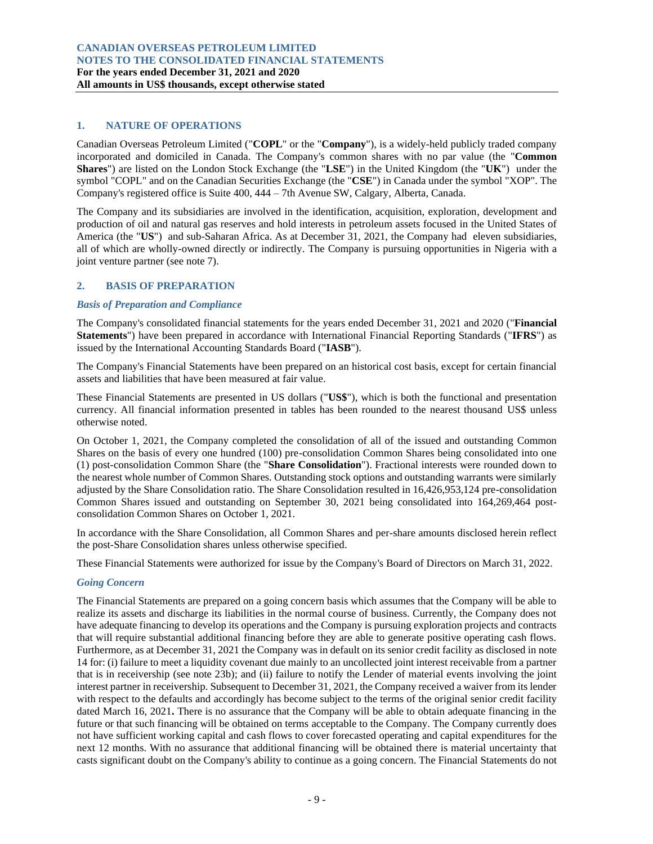#### **1. NATURE OF OPERATIONS**

Canadian Overseas Petroleum Limited ("**COPL**" or the "**Company**"), is a widely-held publicly traded company incorporated and domiciled in Canada. The Company's common shares with no par value (the "**Common Shares**") are listed on the London Stock Exchange (the "**LSE**") in the United Kingdom (the "**UK**") under the symbol "COPL" and on the Canadian Securities Exchange (the "**CSE**") in Canada under the symbol "XOP". The Company's registered office is Suite 400, 444 – 7th Avenue SW, Calgary, Alberta, Canada.

The Company and its subsidiaries are involved in the identification, acquisition, exploration, development and production of oil and natural gas reserves and hold interests in petroleum assets focused in the United States of America (the "**US**") and sub-Saharan Africa. As at December 31, 2021, the Company had eleven subsidiaries, all of which are wholly-owned directly or indirectly. The Company is pursuing opportunities in Nigeria with a joint venture partner (see note 7).

#### **2. BASIS OF PREPARATION**

#### *Basis of Preparation and Compliance*

The Company's consolidated financial statements for the years ended December 31, 2021 and 2020 ("**Financial Statements**") have been prepared in accordance with International Financial Reporting Standards ("**IFRS**") as issued by the International Accounting Standards Board ("**IASB**").

The Company's Financial Statements have been prepared on an historical cost basis, except for certain financial assets and liabilities that have been measured at fair value.

These Financial Statements are presented in US dollars ("**US\$**"), which is both the functional and presentation currency. All financial information presented in tables has been rounded to the nearest thousand US\$ unless otherwise noted.

On October 1, 2021, the Company completed the consolidation of all of the issued and outstanding Common Shares on the basis of every one hundred (100) pre-consolidation Common Shares being consolidated into one (1) post-consolidation Common Share (the "**Share Consolidation**"). Fractional interests were rounded down to the nearest whole number of Common Shares. Outstanding stock options and outstanding warrants were similarly adjusted by the Share Consolidation ratio. The Share Consolidation resulted in 16,426,953,124 pre-consolidation Common Shares issued and outstanding on September 30, 2021 being consolidated into 164,269,464 postconsolidation Common Shares on October 1, 2021.

In accordance with the Share Consolidation, all Common Shares and per-share amounts disclosed herein reflect the post-Share Consolidation shares unless otherwise specified.

These Financial Statements were authorized for issue by the Company's Board of Directors on March 31, 2022.

#### *Going Concern*

The Financial Statements are prepared on a going concern basis which assumes that the Company will be able to realize its assets and discharge its liabilities in the normal course of business. Currently, the Company does not have adequate financing to develop its operations and the Company is pursuing exploration projects and contracts that will require substantial additional financing before they are able to generate positive operating cash flows. Furthermore, as at December 31, 2021 the Company was in default on its senior credit facility as disclosed in note 14 for: (i) failure to meet a liquidity covenant due mainly to an uncollected joint interest receivable from a partner that is in receivership (see note 23b); and (ii) failure to notify the Lender of material events involving the joint interest partner in receivership. Subsequent to December 31, 2021, the Company received a waiver from its lender with respect to the defaults and accordingly has become subject to the terms of the original senior credit facility dated March 16, 2021**.** There is no assurance that the Company will be able to obtain adequate financing in the future or that such financing will be obtained on terms acceptable to the Company. The Company currently does not have sufficient working capital and cash flows to cover forecasted operating and capital expenditures for the next 12 months. With no assurance that additional financing will be obtained there is material uncertainty that casts significant doubt on the Company's ability to continue as a going concern. The Financial Statements do not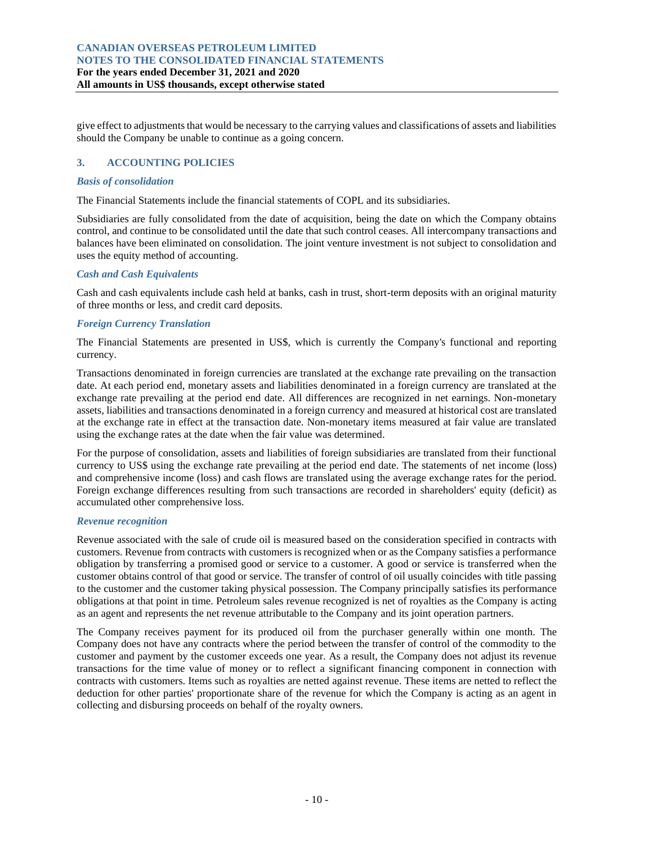give effect to adjustments that would be necessary to the carrying values and classifications of assets and liabilities should the Company be unable to continue as a going concern.

#### **3. ACCOUNTING POLICIES**

#### *Basis of consolidation*

The Financial Statements include the financial statements of COPL and its subsidiaries.

Subsidiaries are fully consolidated from the date of acquisition, being the date on which the Company obtains control, and continue to be consolidated until the date that such control ceases. All intercompany transactions and balances have been eliminated on consolidation. The joint venture investment is not subject to consolidation and uses the equity method of accounting.

#### *Cash and Cash Equivalents*

Cash and cash equivalents include cash held at banks, cash in trust, short-term deposits with an original maturity of three months or less, and credit card deposits.

#### *Foreign Currency Translation*

The Financial Statements are presented in US\$, which is currently the Company's functional and reporting currency.

Transactions denominated in foreign currencies are translated at the exchange rate prevailing on the transaction date. At each period end, monetary assets and liabilities denominated in a foreign currency are translated at the exchange rate prevailing at the period end date. All differences are recognized in net earnings. Non-monetary assets, liabilities and transactions denominated in a foreign currency and measured at historical cost are translated at the exchange rate in effect at the transaction date. Non-monetary items measured at fair value are translated using the exchange rates at the date when the fair value was determined.

For the purpose of consolidation, assets and liabilities of foreign subsidiaries are translated from their functional currency to US\$ using the exchange rate prevailing at the period end date. The statements of net income (loss) and comprehensive income (loss) and cash flows are translated using the average exchange rates for the period. Foreign exchange differences resulting from such transactions are recorded in shareholders' equity (deficit) as accumulated other comprehensive loss.

#### *Revenue recognition*

Revenue associated with the sale of crude oil is measured based on the consideration specified in contracts with customers. Revenue from contracts with customers is recognized when or as the Company satisfies a performance obligation by transferring a promised good or service to a customer. A good or service is transferred when the customer obtains control of that good or service. The transfer of control of oil usually coincides with title passing to the customer and the customer taking physical possession. The Company principally satisfies its performance obligations at that point in time. Petroleum sales revenue recognized is net of royalties as the Company is acting as an agent and represents the net revenue attributable to the Company and its joint operation partners.

The Company receives payment for its produced oil from the purchaser generally within one month. The Company does not have any contracts where the period between the transfer of control of the commodity to the customer and payment by the customer exceeds one year. As a result, the Company does not adjust its revenue transactions for the time value of money or to reflect a significant financing component in connection with contracts with customers. Items such as royalties are netted against revenue. These items are netted to reflect the deduction for other parties' proportionate share of the revenue for which the Company is acting as an agent in collecting and disbursing proceeds on behalf of the royalty owners.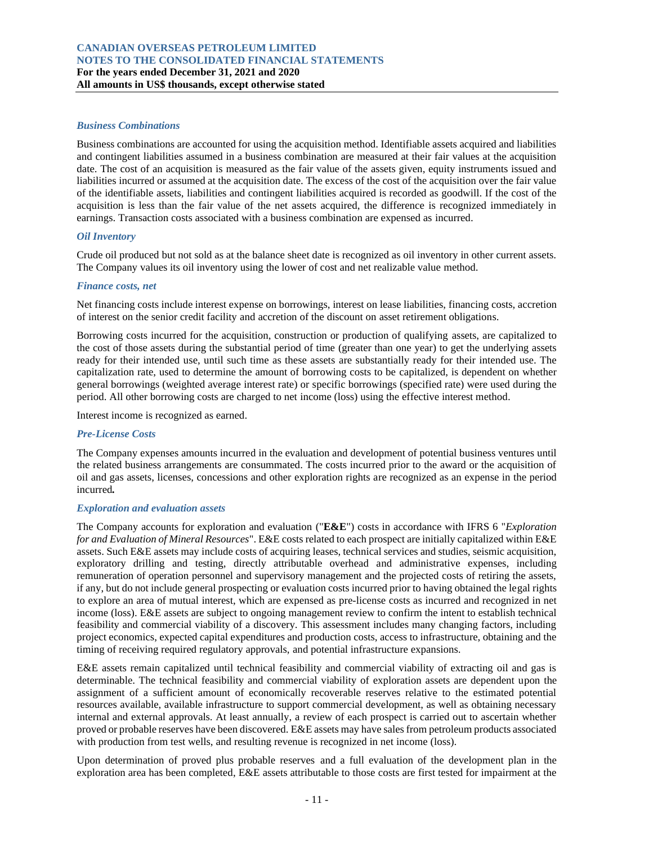#### *Business Combinations*

Business combinations are accounted for using the acquisition method. Identifiable assets acquired and liabilities and contingent liabilities assumed in a business combination are measured at their fair values at the acquisition date. The cost of an acquisition is measured as the fair value of the assets given, equity instruments issued and liabilities incurred or assumed at the acquisition date. The excess of the cost of the acquisition over the fair value of the identifiable assets, liabilities and contingent liabilities acquired is recorded as goodwill. If the cost of the acquisition is less than the fair value of the net assets acquired, the difference is recognized immediately in earnings. Transaction costs associated with a business combination are expensed as incurred.

#### *Oil Inventory*

Crude oil produced but not sold as at the balance sheet date is recognized as oil inventory in other current assets. The Company values its oil inventory using the lower of cost and net realizable value method.

#### *Finance costs, net*

Net financing costs include interest expense on borrowings, interest on lease liabilities, financing costs, accretion of interest on the senior credit facility and accretion of the discount on asset retirement obligations.

Borrowing costs incurred for the acquisition, construction or production of qualifying assets, are capitalized to the cost of those assets during the substantial period of time (greater than one year) to get the underlying assets ready for their intended use, until such time as these assets are substantially ready for their intended use. The capitalization rate, used to determine the amount of borrowing costs to be capitalized, is dependent on whether general borrowings (weighted average interest rate) or specific borrowings (specified rate) were used during the period. All other borrowing costs are charged to net income (loss) using the effective interest method.

Interest income is recognized as earned.

#### *Pre-License Costs*

The Company expenses amounts incurred in the evaluation and development of potential business ventures until the related business arrangements are consummated. The costs incurred prior to the award or the acquisition of oil and gas assets, licenses, concessions and other exploration rights are recognized as an expense in the period incurred*.*

#### *Exploration and evaluation assets*

The Company accounts for exploration and evaluation ("**E&E**") costs in accordance with IFRS 6 "*Exploration for and Evaluation of Mineral Resources*". E&E costs related to each prospect are initially capitalized within E&E assets. Such E&E assets may include costs of acquiring leases, technical services and studies, seismic acquisition, exploratory drilling and testing, directly attributable overhead and administrative expenses, including remuneration of operation personnel and supervisory management and the projected costs of retiring the assets, if any, but do not include general prospecting or evaluation costs incurred prior to having obtained the legal rights to explore an area of mutual interest, which are expensed as pre-license costs as incurred and recognized in net income (loss). E&E assets are subject to ongoing management review to confirm the intent to establish technical feasibility and commercial viability of a discovery. This assessment includes many changing factors, including project economics, expected capital expenditures and production costs, access to infrastructure, obtaining and the timing of receiving required regulatory approvals, and potential infrastructure expansions.

E&E assets remain capitalized until technical feasibility and commercial viability of extracting oil and gas is determinable. The technical feasibility and commercial viability of exploration assets are dependent upon the assignment of a sufficient amount of economically recoverable reserves relative to the estimated potential resources available, available infrastructure to support commercial development, as well as obtaining necessary internal and external approvals. At least annually, a review of each prospect is carried out to ascertain whether proved or probable reserves have been discovered. E&E assets may have sales from petroleum products associated with production from test wells, and resulting revenue is recognized in net income (loss).

Upon determination of proved plus probable reserves and a full evaluation of the development plan in the exploration area has been completed, E&E assets attributable to those costs are first tested for impairment at the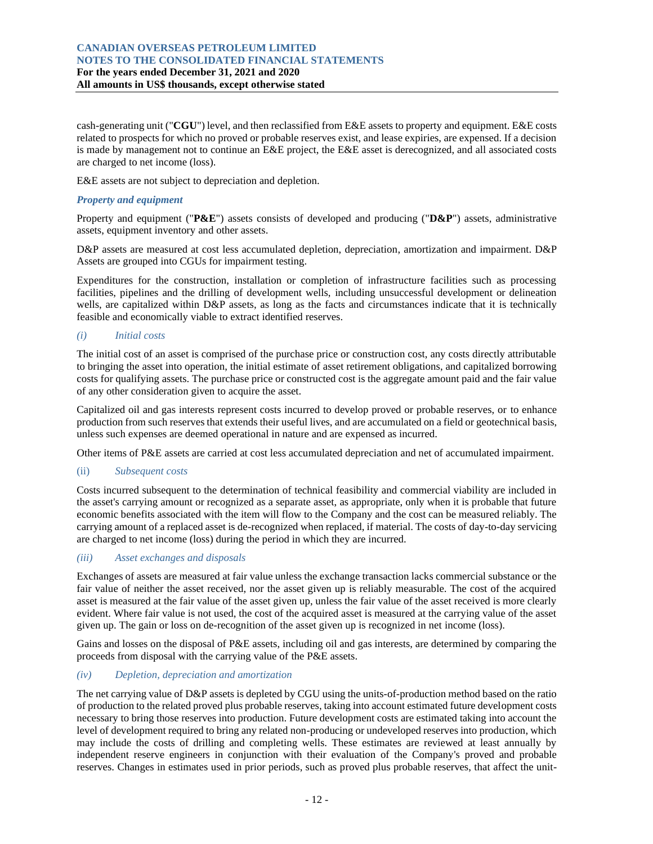cash-generating unit ("**CGU**") level, and then reclassified from E&E assets to property and equipment. E&E costs related to prospects for which no proved or probable reserves exist, and lease expiries, are expensed. If a decision is made by management not to continue an E&E project, the E&E asset is derecognized, and all associated costs are charged to net income (loss).

E&E assets are not subject to depreciation and depletion.

#### *Property and equipment*

Property and equipment ("**P&E**") assets consists of developed and producing ("**D&P**") assets, administrative assets, equipment inventory and other assets.

D&P assets are measured at cost less accumulated depletion, depreciation, amortization and impairment. D&P Assets are grouped into CGUs for impairment testing.

Expenditures for the construction, installation or completion of infrastructure facilities such as processing facilities, pipelines and the drilling of development wells, including unsuccessful development or delineation wells, are capitalized within D&P assets, as long as the facts and circumstances indicate that it is technically feasible and economically viable to extract identified reserves.

#### *(i) Initial costs*

The initial cost of an asset is comprised of the purchase price or construction cost, any costs directly attributable to bringing the asset into operation, the initial estimate of asset retirement obligations, and capitalized borrowing costs for qualifying assets. The purchase price or constructed cost is the aggregate amount paid and the fair value of any other consideration given to acquire the asset.

Capitalized oil and gas interests represent costs incurred to develop proved or probable reserves, or to enhance production from such reserves that extends their useful lives, and are accumulated on a field or geotechnical basis, unless such expenses are deemed operational in nature and are expensed as incurred.

Other items of P&E assets are carried at cost less accumulated depreciation and net of accumulated impairment.

#### (ii) *Subsequent costs*

Costs incurred subsequent to the determination of technical feasibility and commercial viability are included in the asset's carrying amount or recognized as a separate asset, as appropriate, only when it is probable that future economic benefits associated with the item will flow to the Company and the cost can be measured reliably. The carrying amount of a replaced asset is de-recognized when replaced, if material. The costs of day-to-day servicing are charged to net income (loss) during the period in which they are incurred.

## *(iii) Asset exchanges and disposals*

Exchanges of assets are measured at fair value unless the exchange transaction lacks commercial substance or the fair value of neither the asset received, nor the asset given up is reliably measurable. The cost of the acquired asset is measured at the fair value of the asset given up, unless the fair value of the asset received is more clearly evident. Where fair value is not used, the cost of the acquired asset is measured at the carrying value of the asset given up. The gain or loss on de-recognition of the asset given up is recognized in net income (loss).

Gains and losses on the disposal of P&E assets, including oil and gas interests, are determined by comparing the proceeds from disposal with the carrying value of the P&E assets.

#### *(iv) Depletion, depreciation and amortization*

The net carrying value of D&P assets is depleted by CGU using the units-of-production method based on the ratio of production to the related proved plus probable reserves, taking into account estimated future development costs necessary to bring those reserves into production. Future development costs are estimated taking into account the level of development required to bring any related non-producing or undeveloped reserves into production, which may include the costs of drilling and completing wells. These estimates are reviewed at least annually by independent reserve engineers in conjunction with their evaluation of the Company's proved and probable reserves. Changes in estimates used in prior periods, such as proved plus probable reserves, that affect the unit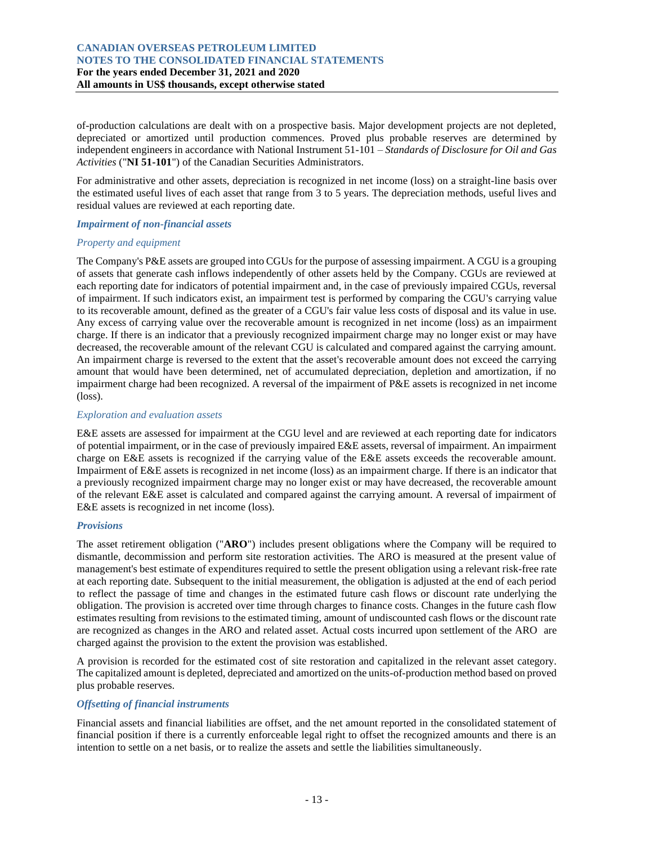of-production calculations are dealt with on a prospective basis. Major development projects are not depleted, depreciated or amortized until production commences. Proved plus probable reserves are determined by independent engineers in accordance with National Instrument 51-101 – *Standards of Disclosure for Oil and Gas Activities* ("**NI 51-101**") of the Canadian Securities Administrators.

For administrative and other assets, depreciation is recognized in net income (loss) on a straight-line basis over the estimated useful lives of each asset that range from 3 to 5 years. The depreciation methods, useful lives and residual values are reviewed at each reporting date.

#### *Impairment of non-financial assets*

#### *Property and equipment*

The Company's P&E assets are grouped into CGUs for the purpose of assessing impairment. A CGU is a grouping of assets that generate cash inflows independently of other assets held by the Company. CGUs are reviewed at each reporting date for indicators of potential impairment and, in the case of previously impaired CGUs, reversal of impairment. If such indicators exist, an impairment test is performed by comparing the CGU's carrying value to its recoverable amount, defined as the greater of a CGU's fair value less costs of disposal and its value in use. Any excess of carrying value over the recoverable amount is recognized in net income (loss) as an impairment charge. If there is an indicator that a previously recognized impairment charge may no longer exist or may have decreased, the recoverable amount of the relevant CGU is calculated and compared against the carrying amount. An impairment charge is reversed to the extent that the asset's recoverable amount does not exceed the carrying amount that would have been determined, net of accumulated depreciation, depletion and amortization, if no impairment charge had been recognized. A reversal of the impairment of P&E assets is recognized in net income (loss).

#### *Exploration and evaluation assets*

E&E assets are assessed for impairment at the CGU level and are reviewed at each reporting date for indicators of potential impairment, or in the case of previously impaired E&E assets, reversal of impairment. An impairment charge on E&E assets is recognized if the carrying value of the E&E assets exceeds the recoverable amount. Impairment of E&E assets is recognized in net income (loss) as an impairment charge. If there is an indicator that a previously recognized impairment charge may no longer exist or may have decreased, the recoverable amount of the relevant E&E asset is calculated and compared against the carrying amount. A reversal of impairment of E&E assets is recognized in net income (loss).

#### *Provisions*

The asset retirement obligation ("**ARO**") includes present obligations where the Company will be required to dismantle, decommission and perform site restoration activities. The ARO is measured at the present value of management's best estimate of expenditures required to settle the present obligation using a relevant risk-free rate at each reporting date. Subsequent to the initial measurement, the obligation is adjusted at the end of each period to reflect the passage of time and changes in the estimated future cash flows or discount rate underlying the obligation. The provision is accreted over time through charges to finance costs. Changes in the future cash flow estimates resulting from revisions to the estimated timing, amount of undiscounted cash flows or the discount rate are recognized as changes in the ARO and related asset. Actual costs incurred upon settlement of the ARO are charged against the provision to the extent the provision was established.

A provision is recorded for the estimated cost of site restoration and capitalized in the relevant asset category. The capitalized amount is depleted, depreciated and amortized on the units-of-production method based on proved plus probable reserves.

## *Offsetting of financial instruments*

Financial assets and financial liabilities are offset, and the net amount reported in the consolidated statement of financial position if there is a currently enforceable legal right to offset the recognized amounts and there is an intention to settle on a net basis, or to realize the assets and settle the liabilities simultaneously.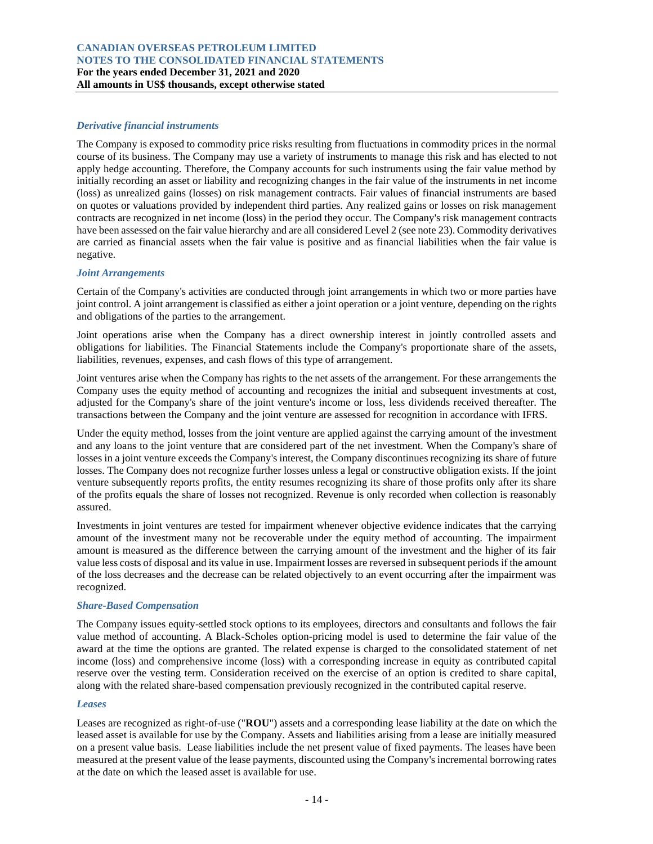#### *Derivative financial instruments*

The Company is exposed to commodity price risks resulting from fluctuations in commodity prices in the normal course of its business. The Company may use a variety of instruments to manage this risk and has elected to not apply hedge accounting. Therefore, the Company accounts for such instruments using the fair value method by initially recording an asset or liability and recognizing changes in the fair value of the instruments in net income (loss) as unrealized gains (losses) on risk management contracts. Fair values of financial instruments are based on quotes or valuations provided by independent third parties. Any realized gains or losses on risk management contracts are recognized in net income (loss) in the period they occur. The Company's risk management contracts have been assessed on the fair value hierarchy and are all considered Level 2 (see note 23). Commodity derivatives are carried as financial assets when the fair value is positive and as financial liabilities when the fair value is negative.

#### *Joint Arrangements*

Certain of the Company's activities are conducted through joint arrangements in which two or more parties have joint control. A joint arrangement is classified as either a joint operation or a joint venture, depending on the rights and obligations of the parties to the arrangement.

Joint operations arise when the Company has a direct ownership interest in jointly controlled assets and obligations for liabilities. The Financial Statements include the Company's proportionate share of the assets, liabilities, revenues, expenses, and cash flows of this type of arrangement.

Joint ventures arise when the Company has rights to the net assets of the arrangement. For these arrangements the Company uses the equity method of accounting and recognizes the initial and subsequent investments at cost, adjusted for the Company's share of the joint venture's income or loss, less dividends received thereafter. The transactions between the Company and the joint venture are assessed for recognition in accordance with IFRS.

Under the equity method, losses from the joint venture are applied against the carrying amount of the investment and any loans to the joint venture that are considered part of the net investment. When the Company's share of losses in a joint venture exceeds the Company's interest, the Company discontinues recognizing its share of future losses. The Company does not recognize further losses unless a legal or constructive obligation exists. If the joint venture subsequently reports profits, the entity resumes recognizing its share of those profits only after its share of the profits equals the share of losses not recognized. Revenue is only recorded when collection is reasonably assured.

Investments in joint ventures are tested for impairment whenever objective evidence indicates that the carrying amount of the investment many not be recoverable under the equity method of accounting. The impairment amount is measured as the difference between the carrying amount of the investment and the higher of its fair value less costs of disposal and its value in use. Impairment losses are reversed in subsequent periods if the amount of the loss decreases and the decrease can be related objectively to an event occurring after the impairment was recognized.

#### *Share-Based Compensation*

The Company issues equity-settled stock options to its employees, directors and consultants and follows the fair value method of accounting. A Black-Scholes option-pricing model is used to determine the fair value of the award at the time the options are granted. The related expense is charged to the consolidated statement of net income (loss) and comprehensive income (loss) with a corresponding increase in equity as contributed capital reserve over the vesting term. Consideration received on the exercise of an option is credited to share capital, along with the related share-based compensation previously recognized in the contributed capital reserve.

#### *Leases*

Leases are recognized as right-of-use ("**ROU**") assets and a corresponding lease liability at the date on which the leased asset is available for use by the Company. Assets and liabilities arising from a lease are initially measured on a present value basis. Lease liabilities include the net present value of fixed payments. The leases have been measured at the present value of the lease payments, discounted using the Company's incremental borrowing rates at the date on which the leased asset is available for use.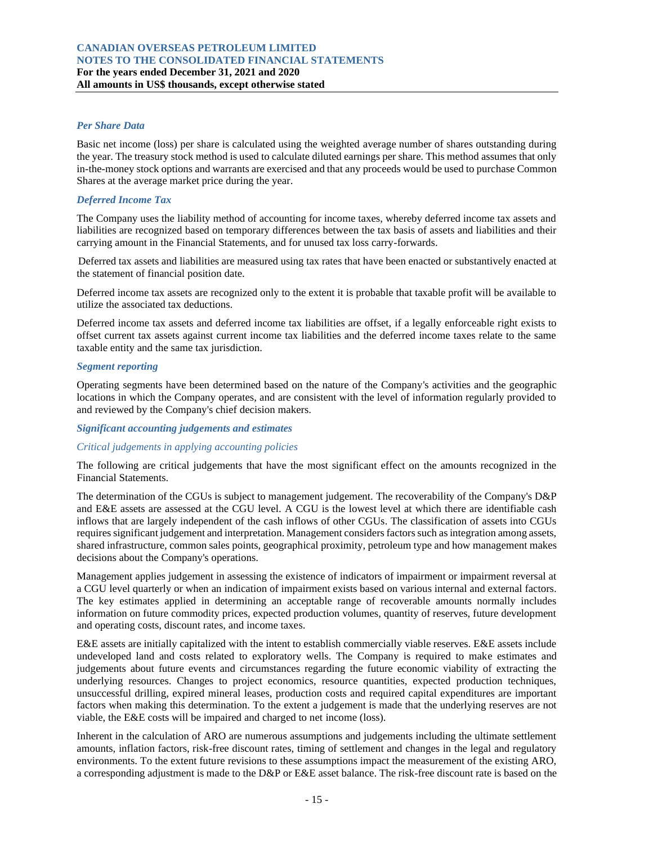#### *Per Share Data*

Basic net income (loss) per share is calculated using the weighted average number of shares outstanding during the year. The treasury stock method is used to calculate diluted earnings per share. This method assumes that only in-the-money stock options and warrants are exercised and that any proceeds would be used to purchase Common Shares at the average market price during the year.

## *Deferred Income Tax*

The Company uses the liability method of accounting for income taxes, whereby deferred income tax assets and liabilities are recognized based on temporary differences between the tax basis of assets and liabilities and their carrying amount in the Financial Statements, and for unused tax loss carry-forwards.

Deferred tax assets and liabilities are measured using tax rates that have been enacted or substantively enacted at the statement of financial position date.

Deferred income tax assets are recognized only to the extent it is probable that taxable profit will be available to utilize the associated tax deductions.

Deferred income tax assets and deferred income tax liabilities are offset, if a legally enforceable right exists to offset current tax assets against current income tax liabilities and the deferred income taxes relate to the same taxable entity and the same tax jurisdiction.

#### *Segment reporting*

Operating segments have been determined based on the nature of the Company's activities and the geographic locations in which the Company operates, and are consistent with the level of information regularly provided to and reviewed by the Company's chief decision makers.

#### *Significant accounting judgements and estimates*

#### *Critical judgements in applying accounting policies*

The following are critical judgements that have the most significant effect on the amounts recognized in the Financial Statements.

The determination of the CGUs is subject to management judgement. The recoverability of the Company's D&P and E&E assets are assessed at the CGU level. A CGU is the lowest level at which there are identifiable cash inflows that are largely independent of the cash inflows of other CGUs. The classification of assets into CGUs requires significant judgement and interpretation. Management considers factors such as integration among assets, shared infrastructure, common sales points, geographical proximity, petroleum type and how management makes decisions about the Company's operations.

Management applies judgement in assessing the existence of indicators of impairment or impairment reversal at a CGU level quarterly or when an indication of impairment exists based on various internal and external factors. The key estimates applied in determining an acceptable range of recoverable amounts normally includes information on future commodity prices, expected production volumes, quantity of reserves, future development and operating costs, discount rates, and income taxes.

E&E assets are initially capitalized with the intent to establish commercially viable reserves. E&E assets include undeveloped land and costs related to exploratory wells. The Company is required to make estimates and judgements about future events and circumstances regarding the future economic viability of extracting the underlying resources. Changes to project economics, resource quantities, expected production techniques, unsuccessful drilling, expired mineral leases, production costs and required capital expenditures are important factors when making this determination. To the extent a judgement is made that the underlying reserves are not viable, the E&E costs will be impaired and charged to net income (loss).

Inherent in the calculation of ARO are numerous assumptions and judgements including the ultimate settlement amounts, inflation factors, risk-free discount rates, timing of settlement and changes in the legal and regulatory environments. To the extent future revisions to these assumptions impact the measurement of the existing ARO, a corresponding adjustment is made to the D&P or E&E asset balance. The risk-free discount rate is based on the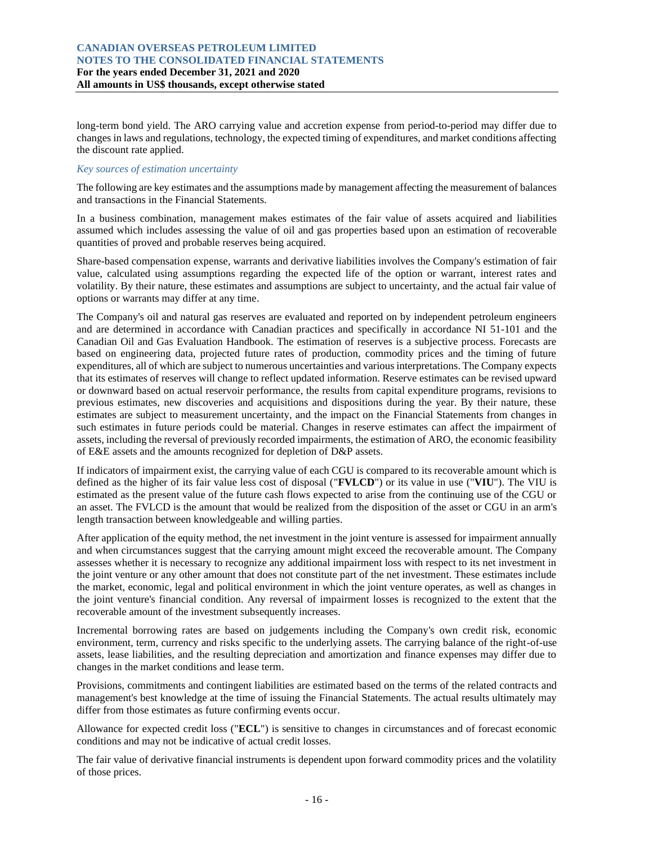long-term bond yield. The ARO carrying value and accretion expense from period-to-period may differ due to changes in laws and regulations, technology, the expected timing of expenditures, and market conditions affecting the discount rate applied.

#### *Key sources of estimation uncertainty*

The following are key estimates and the assumptions made by management affecting the measurement of balances and transactions in the Financial Statements.

In a business combination, management makes estimates of the fair value of assets acquired and liabilities assumed which includes assessing the value of oil and gas properties based upon an estimation of recoverable quantities of proved and probable reserves being acquired.

Share-based compensation expense, warrants and derivative liabilities involves the Company's estimation of fair value, calculated using assumptions regarding the expected life of the option or warrant, interest rates and volatility. By their nature, these estimates and assumptions are subject to uncertainty, and the actual fair value of options or warrants may differ at any time.

The Company's oil and natural gas reserves are evaluated and reported on by independent petroleum engineers and are determined in accordance with Canadian practices and specifically in accordance NI 51-101 and the Canadian Oil and Gas Evaluation Handbook. The estimation of reserves is a subjective process. Forecasts are based on engineering data, projected future rates of production, commodity prices and the timing of future expenditures, all of which are subject to numerous uncertainties and various interpretations. The Company expects that its estimates of reserves will change to reflect updated information. Reserve estimates can be revised upward or downward based on actual reservoir performance, the results from capital expenditure programs, revisions to previous estimates, new discoveries and acquisitions and dispositions during the year. By their nature, these estimates are subject to measurement uncertainty, and the impact on the Financial Statements from changes in such estimates in future periods could be material. Changes in reserve estimates can affect the impairment of assets, including the reversal of previously recorded impairments, the estimation of ARO, the economic feasibility of E&E assets and the amounts recognized for depletion of D&P assets.

If indicators of impairment exist, the carrying value of each CGU is compared to its recoverable amount which is defined as the higher of its fair value less cost of disposal ("**FVLCD**") or its value in use ("**VIU**"). The VIU is estimated as the present value of the future cash flows expected to arise from the continuing use of the CGU or an asset. The FVLCD is the amount that would be realized from the disposition of the asset or CGU in an arm's length transaction between knowledgeable and willing parties.

After application of the equity method, the net investment in the joint venture is assessed for impairment annually and when circumstances suggest that the carrying amount might exceed the recoverable amount. The Company assesses whether it is necessary to recognize any additional impairment loss with respect to its net investment in the joint venture or any other amount that does not constitute part of the net investment. These estimates include the market, economic, legal and political environment in which the joint venture operates, as well as changes in the joint venture's financial condition. Any reversal of impairment losses is recognized to the extent that the recoverable amount of the investment subsequently increases.

Incremental borrowing rates are based on judgements including the Company's own credit risk, economic environment, term, currency and risks specific to the underlying assets. The carrying balance of the right-of-use assets, lease liabilities, and the resulting depreciation and amortization and finance expenses may differ due to changes in the market conditions and lease term.

Provisions, commitments and contingent liabilities are estimated based on the terms of the related contracts and management's best knowledge at the time of issuing the Financial Statements. The actual results ultimately may differ from those estimates as future confirming events occur.

Allowance for expected credit loss ("**ECL**") is sensitive to changes in circumstances and of forecast economic conditions and may not be indicative of actual credit losses.

The fair value of derivative financial instruments is dependent upon forward commodity prices and the volatility of those prices.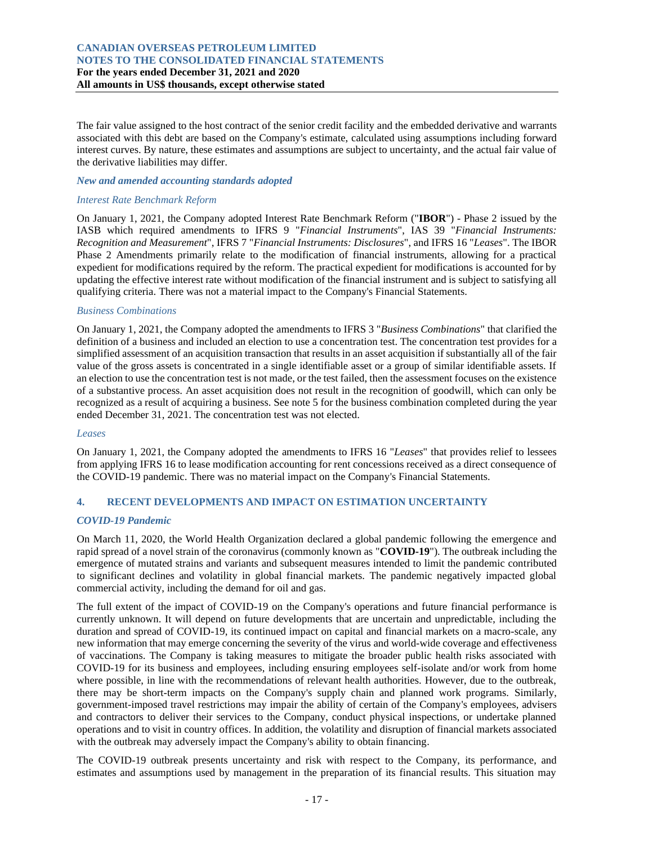The fair value assigned to the host contract of the senior credit facility and the embedded derivative and warrants associated with this debt are based on the Company's estimate, calculated using assumptions including forward interest curves. By nature, these estimates and assumptions are subject to uncertainty, and the actual fair value of the derivative liabilities may differ.

#### *New and amended accounting standards adopted*

#### *Interest Rate Benchmark Reform*

On January 1, 2021, the Company adopted Interest Rate Benchmark Reform ("**IBOR**") - Phase 2 issued by the IASB which required amendments to IFRS 9 "*Financial Instruments*", IAS 39 "*Financial Instruments: Recognition and Measurement*", IFRS 7 "*Financial Instruments: Disclosures*", and IFRS 16 "*Leases*". The IBOR Phase 2 Amendments primarily relate to the modification of financial instruments, allowing for a practical expedient for modifications required by the reform. The practical expedient for modifications is accounted for by updating the effective interest rate without modification of the financial instrument and is subject to satisfying all qualifying criteria. There was not a material impact to the Company's Financial Statements.

#### *Business Combinations*

On January 1, 2021, the Company adopted the amendments to IFRS 3 "*Business Combinations*" that clarified the definition of a business and included an election to use a concentration test. The concentration test provides for a simplified assessment of an acquisition transaction that results in an asset acquisition if substantially all of the fair value of the gross assets is concentrated in a single identifiable asset or a group of similar identifiable assets. If an election to use the concentration test is not made, or the test failed, then the assessment focuses on the existence of a substantive process. An asset acquisition does not result in the recognition of goodwill, which can only be recognized as a result of acquiring a business. See note 5 for the business combination completed during the year ended December 31, 2021. The concentration test was not elected.

#### *Leases*

On January 1, 2021, the Company adopted the amendments to IFRS 16 "*Leases*" that provides relief to lessees from applying IFRS 16 to lease modification accounting for rent concessions received as a direct consequence of the COVID-19 pandemic. There was no material impact on the Company's Financial Statements.

#### **4. RECENT DEVELOPMENTS AND IMPACT ON ESTIMATION UNCERTAINTY**

#### *COVID-19 Pandemic*

On March 11, 2020, the World Health Organization declared a global pandemic following the emergence and rapid spread of a novel strain of the coronavirus (commonly known as "**COVID-19**"). The outbreak including the emergence of mutated strains and variants and subsequent measures intended to limit the pandemic contributed to significant declines and volatility in global financial markets. The pandemic negatively impacted global commercial activity, including the demand for oil and gas.

The full extent of the impact of COVID-19 on the Company's operations and future financial performance is currently unknown. It will depend on future developments that are uncertain and unpredictable, including the duration and spread of COVID-19, its continued impact on capital and financial markets on a macro-scale, any new information that may emerge concerning the severity of the virus and world-wide coverage and effectiveness of vaccinations. The Company is taking measures to mitigate the broader public health risks associated with COVID-19 for its business and employees, including ensuring employees self-isolate and/or work from home where possible, in line with the recommendations of relevant health authorities. However, due to the outbreak, there may be short-term impacts on the Company's supply chain and planned work programs. Similarly, government-imposed travel restrictions may impair the ability of certain of the Company's employees, advisers and contractors to deliver their services to the Company, conduct physical inspections, or undertake planned operations and to visit in country offices. In addition, the volatility and disruption of financial markets associated with the outbreak may adversely impact the Company's ability to obtain financing.

The COVID-19 outbreak presents uncertainty and risk with respect to the Company, its performance, and estimates and assumptions used by management in the preparation of its financial results. This situation may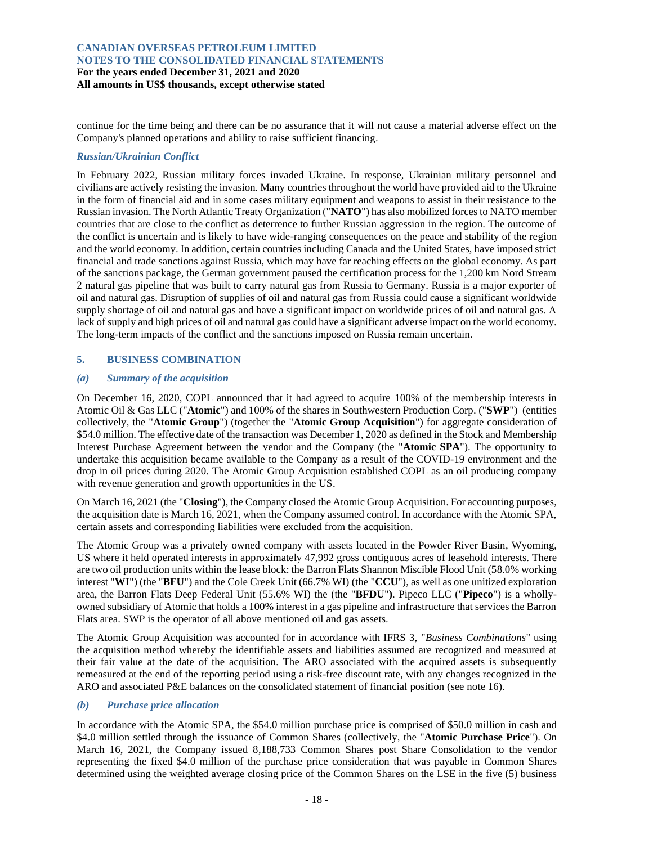continue for the time being and there can be no assurance that it will not cause a material adverse effect on the Company's planned operations and ability to raise sufficient financing.

#### *Russian/Ukrainian Conflict*

In February 2022, Russian military forces invaded Ukraine. In response, Ukrainian military personnel and civilians are actively resisting the invasion. Many countries throughout the world have provided aid to the Ukraine in the form of financial aid and in some cases military equipment and weapons to assist in their resistance to the Russian invasion. The North Atlantic Treaty Organization ("**NATO**") has also mobilized forces to NATO member countries that are close to the conflict as deterrence to further Russian aggression in the region. The outcome of the conflict is uncertain and is likely to have wide-ranging consequences on the peace and stability of the region and the world economy. In addition, certain countries including Canada and the United States, have imposed strict financial and trade sanctions against Russia, which may have far reaching effects on the global economy. As part of the sanctions package, the German government paused the certification process for the 1,200 km Nord Stream 2 natural gas pipeline that was built to carry natural gas from Russia to Germany. Russia is a major exporter of oil and natural gas. Disruption of supplies of oil and natural gas from Russia could cause a significant worldwide supply shortage of oil and natural gas and have a significant impact on worldwide prices of oil and natural gas. A lack of supply and high prices of oil and natural gas could have a significant adverse impact on the world economy. The long-term impacts of the conflict and the sanctions imposed on Russia remain uncertain.

#### **5. BUSINESS COMBINATION**

#### *(a) Summary of the acquisition*

On December 16, 2020, COPL announced that it had agreed to acquire 100% of the membership interests in Atomic Oil & Gas LLC ("**Atomic**") and 100% of the shares in Southwestern Production Corp. ("**SWP**") (entities collectively, the "**Atomic Group**") (together the "**Atomic Group Acquisition**") for aggregate consideration of \$54.0 million. The effective date of the transaction was December 1, 2020 as defined in the Stock and Membership Interest Purchase Agreement between the vendor and the Company (the "**Atomic SPA**"). The opportunity to undertake this acquisition became available to the Company as a result of the COVID-19 environment and the drop in oil prices during 2020. The Atomic Group Acquisition established COPL as an oil producing company with revenue generation and growth opportunities in the US.

On March 16, 2021 (the "**Closing**"), the Company closed the Atomic Group Acquisition. For accounting purposes, the acquisition date is March 16, 2021, when the Company assumed control. In accordance with the Atomic SPA, certain assets and corresponding liabilities were excluded from the acquisition.

The Atomic Group was a privately owned company with assets located in the Powder River Basin, Wyoming, US where it held operated interests in approximately 47,992 gross contiguous acres of leasehold interests. There are two oil production units within the lease block: the Barron Flats Shannon Miscible Flood Unit (58.0% working interest "**WI**") (the "**BFU**") and the Cole Creek Unit (66.7% WI) (the "**CCU**"), as well as one unitized exploration area, the Barron Flats Deep Federal Unit (55.6% WI) the (the "**BFDU**"**)**. Pipeco LLC ("**Pipeco**") is a whollyowned subsidiary of Atomic that holds a 100% interest in a gas pipeline and infrastructure that services the Barron Flats area. SWP is the operator of all above mentioned oil and gas assets.

The Atomic Group Acquisition was accounted for in accordance with IFRS 3, "*Business Combinations*" using the acquisition method whereby the identifiable assets and liabilities assumed are recognized and measured at their fair value at the date of the acquisition. The ARO associated with the acquired assets is subsequently remeasured at the end of the reporting period using a risk-free discount rate, with any changes recognized in the ARO and associated P&E balances on the consolidated statement of financial position (see note 16).

#### *(b) Purchase price allocation*

In accordance with the Atomic SPA, the \$54.0 million purchase price is comprised of \$50.0 million in cash and \$4.0 million settled through the issuance of Common Shares (collectively, the "**Atomic Purchase Price**"). On March 16, 2021, the Company issued 8,188,733 Common Shares post Share Consolidation to the vendor representing the fixed \$4.0 million of the purchase price consideration that was payable in Common Shares determined using the weighted average closing price of the Common Shares on the LSE in the five (5) business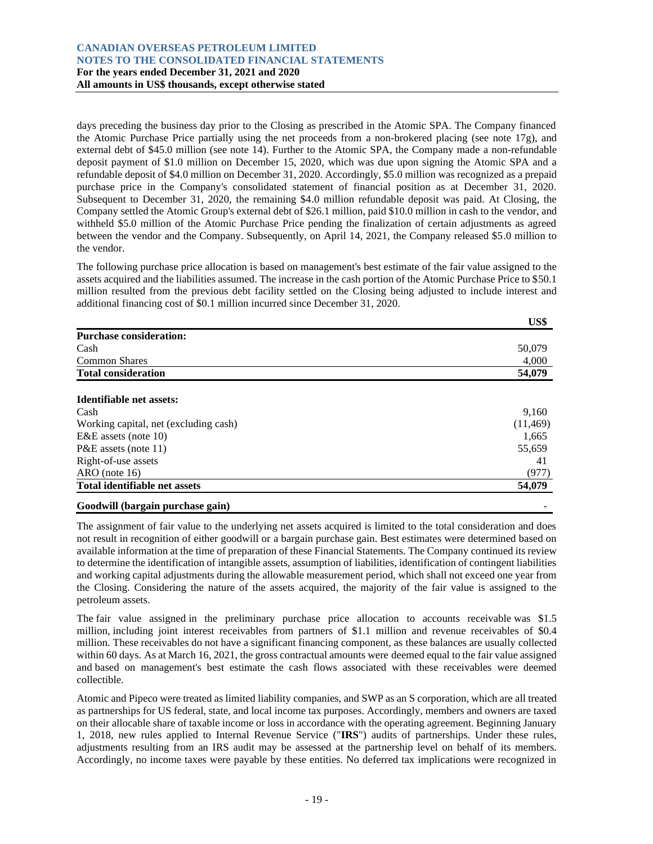days preceding the business day prior to the Closing as prescribed in the Atomic SPA. The Company financed the Atomic Purchase Price partially using the net proceeds from a non-brokered placing (see note 17g), and external debt of \$45.0 million (see note 14). Further to the Atomic SPA, the Company made a non-refundable deposit payment of \$1.0 million on December 15, 2020, which was due upon signing the Atomic SPA and a refundable deposit of \$4.0 million on December 31, 2020. Accordingly, \$5.0 million was recognized as a prepaid purchase price in the Company's consolidated statement of financial position as at December 31, 2020. Subsequent to December 31, 2020, the remaining \$4.0 million refundable deposit was paid. At Closing, the Company settled the Atomic Group's external debt of \$26.1 million, paid \$10.0 million in cash to the vendor, and withheld \$5.0 million of the Atomic Purchase Price pending the finalization of certain adjustments as agreed between the vendor and the Company. Subsequently, on April 14, 2021, the Company released \$5.0 million to the vendor.

The following purchase price allocation is based on management's best estimate of the fair value assigned to the assets acquired and the liabilities assumed. The increase in the cash portion of the Atomic Purchase Price to \$50.1 million resulted from the previous debt facility settled on the Closing being adjusted to include interest and additional financing cost of \$0.1 million incurred since December 31, 2020.

| US\$      |
|-----------|
|           |
| 50,079    |
| 4,000     |
| 54,079    |
|           |
| 9,160     |
| (11, 469) |
| 1,665     |
| 55,659    |
| 41        |
| (977)     |
| 54,079    |
|           |

#### **Goodwill (bargain purchase gain)** -

The assignment of fair value to the underlying net assets acquired is limited to the total consideration and does not result in recognition of either goodwill or a bargain purchase gain. Best estimates were determined based on available information at the time of preparation of these Financial Statements. The Company continued its review to determine the identification of intangible assets, assumption of liabilities, identification of contingent liabilities and working capital adjustments during the allowable measurement period, which shall not exceed one year from the Closing. Considering the nature of the assets acquired, the majority of the fair value is assigned to the petroleum assets.

The fair value assigned in the preliminary purchase price allocation to accounts receivable was \$1.5 million, including joint interest receivables from partners of \$1.1 million and revenue receivables of \$0.4 million. These receivables do not have a significant financing component, as these balances are usually collected within 60 days. As at March 16, 2021, the gross contractual amounts were deemed equal to the fair value assigned and based on management's best estimate the cash flows associated with these receivables were deemed collectible.

Atomic and Pipeco were treated as limited liability companies, and SWP as an S corporation, which are all treated as partnerships for US federal, state, and local income tax purposes. Accordingly, members and owners are taxed on their allocable share of taxable income or loss in accordance with the operating agreement. Beginning January 1, 2018, new rules applied to Internal Revenue Service ("**IRS**") audits of partnerships. Under these rules, adjustments resulting from an IRS audit may be assessed at the partnership level on behalf of its members. Accordingly, no income taxes were payable by these entities. No deferred tax implications were recognized in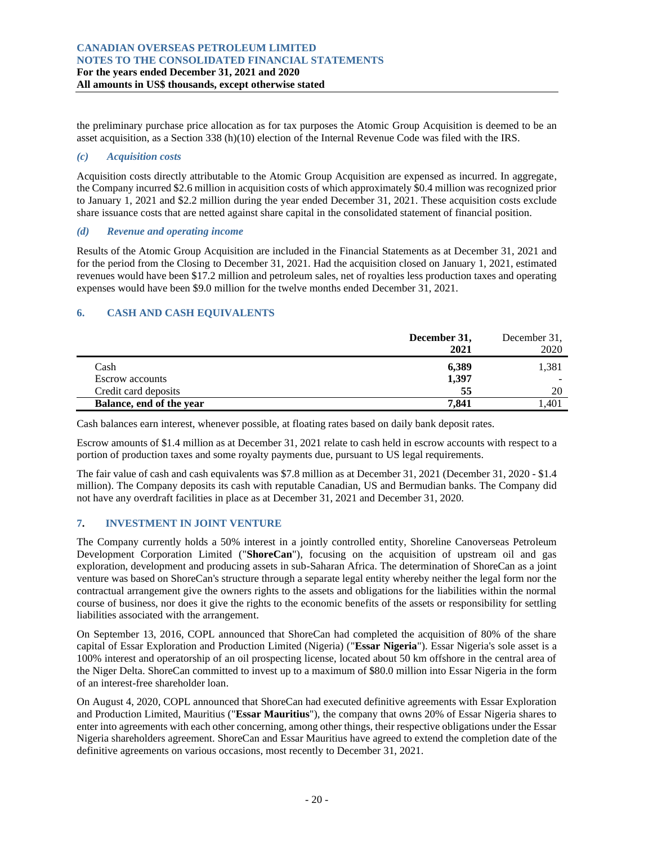the preliminary purchase price allocation as for tax purposes the Atomic Group Acquisition is deemed to be an asset acquisition, as a Section 338 (h)(10) election of the Internal Revenue Code was filed with the IRS.

#### *(c) Acquisition costs*

Acquisition costs directly attributable to the Atomic Group Acquisition are expensed as incurred. In aggregate, the Company incurred \$2.6 million in acquisition costs of which approximately \$0.4 million was recognized prior to January 1, 2021 and \$2.2 million during the year ended December 31, 2021. These acquisition costs exclude share issuance costs that are netted against share capital in the consolidated statement of financial position.

## *(d) Revenue and operating income*

Results of the Atomic Group Acquisition are included in the Financial Statements as at December 31, 2021 and for the period from the Closing to December 31, 2021. Had the acquisition closed on January 1, 2021, estimated revenues would have been \$17.2 million and petroleum sales, net of royalties less production taxes and operating expenses would have been \$9.0 million for the twelve months ended December 31, 2021.

#### **6. CASH AND CASH EQUIVALENTS**

|                          | December 31, | December 31, |
|--------------------------|--------------|--------------|
|                          | 2021         | 2020         |
| Cash                     | 6,389        | 1,381        |
| Escrow accounts          | 1,397        |              |
| Credit card deposits     | 55           | 20           |
| Balance, end of the year | 7.841        | .401         |

Cash balances earn interest, whenever possible, at floating rates based on daily bank deposit rates.

Escrow amounts of \$1.4 million as at December 31, 2021 relate to cash held in escrow accounts with respect to a portion of production taxes and some royalty payments due, pursuant to US legal requirements.

The fair value of cash and cash equivalents was \$7.8 million as at December 31, 2021 (December 31, 2020 - \$1.4 million). The Company deposits its cash with reputable Canadian, US and Bermudian banks. The Company did not have any overdraft facilities in place as at December 31, 2021 and December 31, 2020.

#### **7. INVESTMENT IN JOINT VENTURE**

The Company currently holds a 50% interest in a jointly controlled entity, Shoreline Canoverseas Petroleum Development Corporation Limited ("**ShoreCan**"), focusing on the acquisition of upstream oil and gas exploration, development and producing assets in sub-Saharan Africa. The determination of ShoreCan as a joint venture was based on ShoreCan's structure through a separate legal entity whereby neither the legal form nor the contractual arrangement give the owners rights to the assets and obligations for the liabilities within the normal course of business, nor does it give the rights to the economic benefits of the assets or responsibility for settling liabilities associated with the arrangement.

On September 13, 2016, COPL announced that ShoreCan had completed the acquisition of 80% of the share capital of Essar Exploration and Production Limited (Nigeria) ("**Essar Nigeria**"). Essar Nigeria's sole asset is a 100% interest and operatorship of an oil prospecting license, located about 50 km offshore in the central area of the Niger Delta. ShoreCan committed to invest up to a maximum of \$80.0 million into Essar Nigeria in the form of an interest-free shareholder loan.

On August 4, 2020, COPL announced that ShoreCan had executed definitive agreements with Essar Exploration and Production Limited, Mauritius ("**Essar Mauritius**"), the company that owns 20% of Essar Nigeria shares to enter into agreements with each other concerning, among other things, their respective obligations under the Essar Nigeria shareholders agreement. ShoreCan and Essar Mauritius have agreed to extend the completion date of the definitive agreements on various occasions, most recently to December 31, 2021.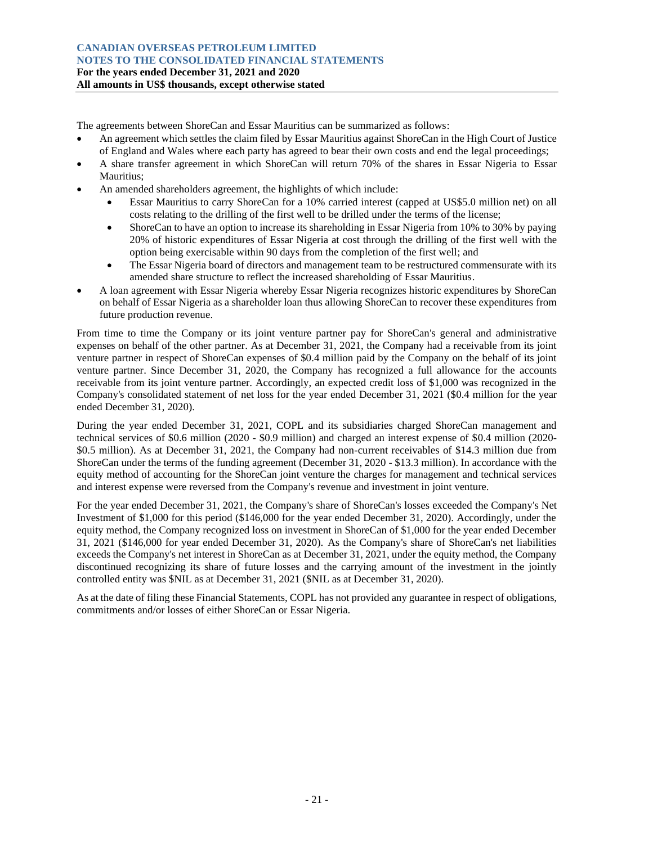The agreements between ShoreCan and Essar Mauritius can be summarized as follows:

- An agreement which settles the claim filed by Essar Mauritius against ShoreCan in the High Court of Justice of England and Wales where each party has agreed to bear their own costs and end the legal proceedings;
- A share transfer agreement in which ShoreCan will return 70% of the shares in Essar Nigeria to Essar Mauritius;
- An amended shareholders agreement, the highlights of which include:
	- Essar Mauritius to carry ShoreCan for a 10% carried interest (capped at US\$5.0 million net) on all costs relating to the drilling of the first well to be drilled under the terms of the license;
	- ShoreCan to have an option to increase its shareholding in Essar Nigeria from 10% to 30% by paying 20% of historic expenditures of Essar Nigeria at cost through the drilling of the first well with the option being exercisable within 90 days from the completion of the first well; and
	- The Essar Nigeria board of directors and management team to be restructured commensurate with its amended share structure to reflect the increased shareholding of Essar Mauritius.
- A loan agreement with Essar Nigeria whereby Essar Nigeria recognizes historic expenditures by ShoreCan on behalf of Essar Nigeria as a shareholder loan thus allowing ShoreCan to recover these expenditures from future production revenue.

From time to time the Company or its joint venture partner pay for ShoreCan's general and administrative expenses on behalf of the other partner. As at December 31, 2021, the Company had a receivable from its joint venture partner in respect of ShoreCan expenses of \$0.4 million paid by the Company on the behalf of its joint venture partner. Since December 31, 2020, the Company has recognized a full allowance for the accounts receivable from its joint venture partner. Accordingly, an expected credit loss of \$1,000 was recognized in the Company's consolidated statement of net loss for the year ended December 31, 2021 (\$0.4 million for the year ended December 31, 2020).

During the year ended December 31, 2021, COPL and its subsidiaries charged ShoreCan management and technical services of \$0.6 million (2020 - \$0.9 million) and charged an interest expense of \$0.4 million (2020- \$0.5 million). As at December 31, 2021, the Company had non-current receivables of \$14.3 million due from ShoreCan under the terms of the funding agreement (December 31, 2020 - \$13.3 million). In accordance with the equity method of accounting for the ShoreCan joint venture the charges for management and technical services and interest expense were reversed from the Company's revenue and investment in joint venture.

For the year ended December 31, 2021, the Company's share of ShoreCan's losses exceeded the Company's Net Investment of \$1,000 for this period (\$146,000 for the year ended December 31, 2020). Accordingly, under the equity method, the Company recognized loss on investment in ShoreCan of \$1,000 for the year ended December 31, 2021 (\$146,000 for year ended December 31, 2020). As the Company's share of ShoreCan's net liabilities exceeds the Company's net interest in ShoreCan as at December 31, 2021, under the equity method, the Company discontinued recognizing its share of future losses and the carrying amount of the investment in the jointly controlled entity was \$NIL as at December 31, 2021 (\$NIL as at December 31, 2020).

As at the date of filing these Financial Statements, COPL has not provided any guarantee in respect of obligations, commitments and/or losses of either ShoreCan or Essar Nigeria.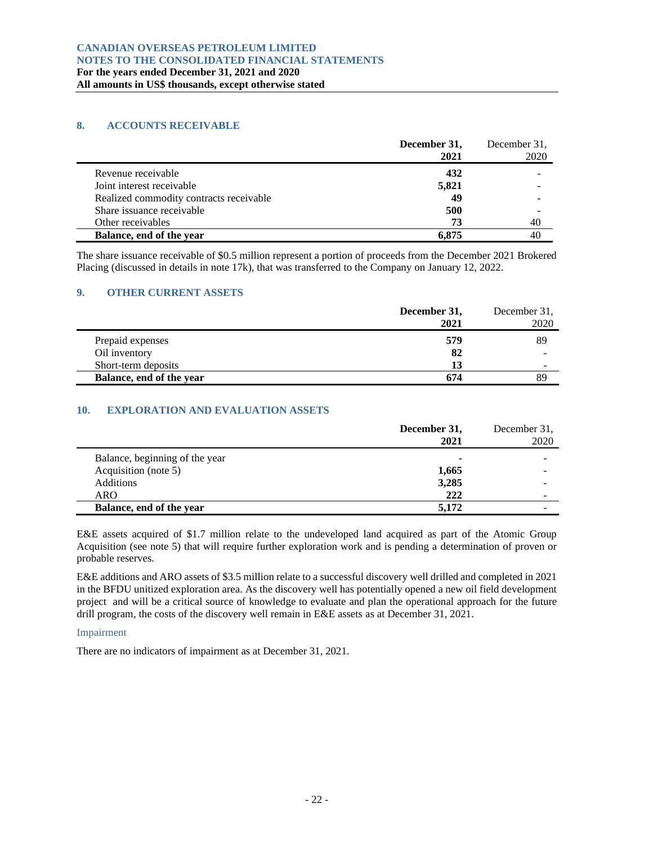# **NOTES TO THE CONSOLIDATED FINANCIAL STATEMENTS**

**For the years ended December 31, 2021 and 2020**

**All amounts in US\$ thousands, except otherwise stated**

## **8. ACCOUNTS RECEIVABLE**

|                                         | December 31, | December 31. |
|-----------------------------------------|--------------|--------------|
|                                         | 2021         | 2020         |
| Revenue receivable                      | 432          |              |
| Joint interest receivable               | 5,821        |              |
| Realized commodity contracts receivable | 49           |              |
| Share issuance receivable               | 500          |              |
| Other receivables                       | 73           | 40           |
| Balance, end of the year                | 6.875        | 40           |

The share issuance receivable of \$0.5 million represent a portion of proceeds from the December 2021 Brokered Placing (discussed in details in note 17k), that was transferred to the Company on January 12, 2022.

# **9. OTHER CURRENT ASSETS**

|                          | December 31,<br>2021 | December 31,<br>2020     |
|--------------------------|----------------------|--------------------------|
|                          |                      |                          |
| Prepaid expenses         | 579                  | 89                       |
| Oil inventory            | 82                   |                          |
| Short-term deposits      | 13                   | $\overline{\phantom{a}}$ |
| Balance, end of the year | 674                  | 89                       |

## **10. EXPLORATION AND EVALUATION ASSETS**

|                                | December 31,<br>2021 | December 31.<br>2020 |
|--------------------------------|----------------------|----------------------|
| Balance, beginning of the year | ۰                    | -                    |
| Acquisition (note 5)           | 1,665                |                      |
| <b>Additions</b>               | 3,285                | -                    |
| ARO                            | 222                  | -                    |
| Balance, end of the year       | 5.172                |                      |

E&E assets acquired of \$1.7 million relate to the undeveloped land acquired as part of the Atomic Group Acquisition (see note 5) that will require further exploration work and is pending a determination of proven or probable reserves.

E&E additions and ARO assets of \$3.5 million relate to a successful discovery well drilled and completed in 2021 in the BFDU unitized exploration area. As the discovery well has potentially opened a new oil field development project and will be a critical source of knowledge to evaluate and plan the operational approach for the future drill program, the costs of the discovery well remain in E&E assets as at December 31, 2021.

#### Impairment

There are no indicators of impairment as at December 31, 2021.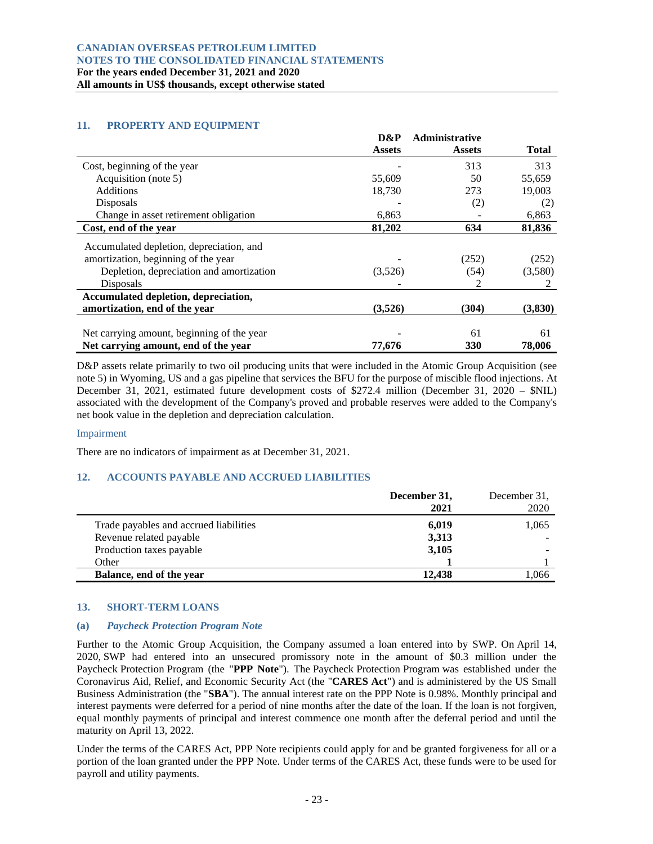# **CANADIAN OVERSEAS PETROLEUM LIMITED NOTES TO THE CONSOLIDATED FINANCIAL STATEMENTS For the years ended December 31, 2021 and 2020**

**All amounts in US\$ thousands, except otherwise stated**

## **11. PROPERTY AND EQUIPMENT**

|                                            | D&P           | <b>Administrative</b> |         |  |
|--------------------------------------------|---------------|-----------------------|---------|--|
|                                            | <b>Assets</b> | <b>Assets</b>         | Total   |  |
| Cost, beginning of the year                |               | 313                   | 313     |  |
| Acquisition (note 5)                       | 55,609        | 50                    | 55,659  |  |
| Additions                                  | 18,730        | 273                   | 19,003  |  |
| Disposals                                  |               | (2)                   | (2)     |  |
| Change in asset retirement obligation      | 6,863         |                       | 6,863   |  |
| Cost, end of the year                      | 81,202        | 634                   | 81,836  |  |
| Accumulated depletion, depreciation, and   |               |                       |         |  |
| amortization, beginning of the year        |               | (252)                 | (252)   |  |
| Depletion, depreciation and amortization   | (3,526)       | (54)                  | (3,580) |  |
| Disposals                                  |               | 2                     |         |  |
| Accumulated depletion, depreciation,       |               |                       |         |  |
| amortization, end of the year              | (3,526)       | (304)                 | (3,830) |  |
| Net carrying amount, beginning of the year |               | 61                    | 61      |  |
| Net carrying amount, end of the year       | 77.676        | 330                   | 78,006  |  |

D&P assets relate primarily to two oil producing units that were included in the Atomic Group Acquisition (see note 5) in Wyoming, US and a gas pipeline that services the BFU for the purpose of miscible flood injections. At December 31, 2021, estimated future development costs of \$272.4 million (December 31, 2020 – \$NIL) associated with the development of the Company's proved and probable reserves were added to the Company's net book value in the depletion and depreciation calculation.

#### Impairment

There are no indicators of impairment as at December 31, 2021.

## **12. ACCOUNTS PAYABLE AND ACCRUED LIABILITIES**

|                                        | December 31, | December 31. |
|----------------------------------------|--------------|--------------|
|                                        | 2021         | 2020         |
| Trade payables and accrued liabilities | 6,019        | 1,065        |
| Revenue related payable                | 3,313        |              |
| Production taxes payable               | 3,105        |              |
| Other                                  |              |              |
| Balance, end of the year               | 12.438       | .066         |

#### **13. SHORT-TERM LOANS**

#### **(a)** *Paycheck Protection Program Note*

Further to the Atomic Group Acquisition, the Company assumed a loan entered into by SWP. On April 14, 2020, SWP had entered into an unsecured promissory note in the amount of \$0.3 million under the Paycheck Protection Program (the "**PPP Note**"). The Paycheck Protection Program was established under the Coronavirus Aid, Relief, and Economic Security Act (the "**CARES Act**") and is administered by the US Small Business Administration (the "**SBA**"). The annual interest rate on the PPP Note is 0.98%. Monthly principal and interest payments were deferred for a period of nine months after the date of the loan. If the loan is not forgiven, equal monthly payments of principal and interest commence one month after the deferral period and until the maturity on April 13, 2022.

Under the terms of the CARES Act, PPP Note recipients could apply for and be granted forgiveness for all or a portion of the loan granted under the PPP Note. Under terms of the CARES Act, these funds were to be used for payroll and utility payments.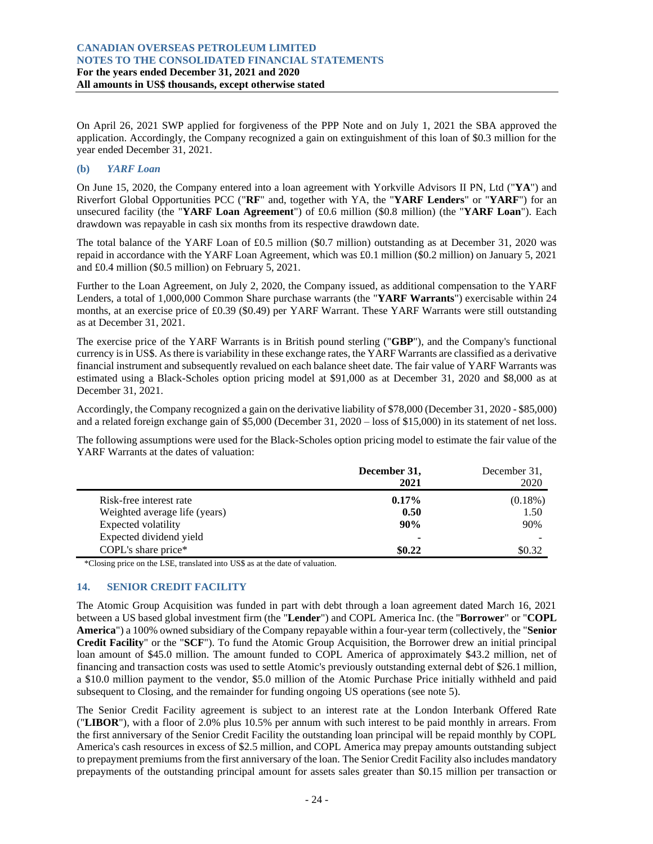On April 26, 2021 SWP applied for forgiveness of the PPP Note and on July 1, 2021 the SBA approved the application. Accordingly, the Company recognized a gain on extinguishment of this loan of \$0.3 million for the year ended December 31, 2021.

#### **(b)** *YARF Loan*

On June 15, 2020, the Company entered into a loan agreement with Yorkville Advisors II PN, Ltd ("**YA**") and Riverfort Global Opportunities PCC ("**RF**" and, together with YA, the "**YARF Lenders**" or "**YARF**") for an unsecured facility (the "**YARF Loan Agreement**") of £0.6 million (\$0.8 million) (the "**YARF Loan**"). Each drawdown was repayable in cash six months from its respective drawdown date.

The total balance of the YARF Loan of £0.5 million (\$0.7 million) outstanding as at December 31, 2020 was repaid in accordance with the YARF Loan Agreement, which was £0.1 million (\$0.2 million) on January 5, 2021 and £0.4 million (\$0.5 million) on February 5, 2021.

Further to the Loan Agreement, on July 2, 2020, the Company issued, as additional compensation to the YARF Lenders, a total of 1,000,000 Common Share purchase warrants (the "**YARF Warrants**") exercisable within 24 months, at an exercise price of £0.39 (\$0.49) per YARF Warrant. These YARF Warrants were still outstanding as at December 31, 2021.

The exercise price of the YARF Warrants is in British pound sterling ("**GBP**"), and the Company's functional currency is in US\$. As there is variability in these exchange rates, the YARF Warrants are classified as a derivative financial instrument and subsequently revalued on each balance sheet date. The fair value of YARF Warrants was estimated using a Black-Scholes option pricing model at \$91,000 as at December 31, 2020 and \$8,000 as at December 31, 2021.

Accordingly, the Company recognized a gain on the derivative liability of \$78,000 (December 31, 2020 - \$85,000) and a related foreign exchange gain of \$5,000 (December 31, 2020 – loss of \$15,000) in its statement of net loss.

The following assumptions were used for the Black-Scholes option pricing model to estimate the fair value of the YARF Warrants at the dates of valuation:

|                               | December 31,<br>2021 | December 31.<br>2020 |
|-------------------------------|----------------------|----------------------|
| Risk-free interest rate       | $0.17\%$             | $(0.18\%)$           |
| Weighted average life (years) | 0.50                 | 1.50                 |
| Expected volatility           | 90%                  | 90%                  |
| Expected dividend yield       |                      |                      |
| COPL's share price*           | \$0.22               | \$0.32               |

\*Closing price on the LSE, translated into US\$ as at the date of valuation.

## **14. SENIOR CREDIT FACILITY**

The Atomic Group Acquisition was funded in part with debt through a loan agreement dated March 16, 2021 between a US based global investment firm (the "**Lender**") and COPL America Inc. (the "**Borrower**" or "**COPL America**") a 100% owned subsidiary of the Company repayable within a four-year term (collectively, the "**Senior Credit Facility**" or the "**SCF**"). To fund the Atomic Group Acquisition, the Borrower drew an initial principal loan amount of \$45.0 million. The amount funded to COPL America of approximately \$43.2 million, net of financing and transaction costs was used to settle Atomic's previously outstanding external debt of \$26.1 million, a \$10.0 million payment to the vendor, \$5.0 million of the Atomic Purchase Price initially withheld and paid subsequent to Closing, and the remainder for funding ongoing US operations (see note 5).

The Senior Credit Facility agreement is subject to an interest rate at the London Interbank Offered Rate ("**LIBOR**"), with a floor of 2.0% plus 10.5% per annum with such interest to be paid monthly in arrears. From the first anniversary of the Senior Credit Facility the outstanding loan principal will be repaid monthly by COPL America's cash resources in excess of \$2.5 million, and COPL America may prepay amounts outstanding subject to prepayment premiums from the first anniversary of the loan. The Senior Credit Facility also includes mandatory prepayments of the outstanding principal amount for assets sales greater than \$0.15 million per transaction or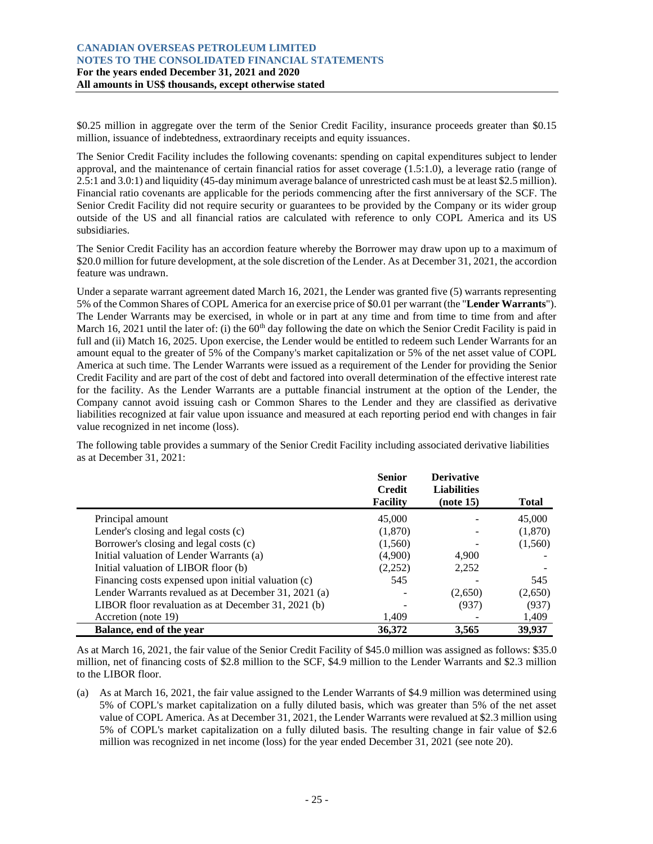\$0.25 million in aggregate over the term of the Senior Credit Facility, insurance proceeds greater than \$0.15 million, issuance of indebtedness, extraordinary receipts and equity issuances.

The Senior Credit Facility includes the following covenants: spending on capital expenditures subject to lender approval, and the maintenance of certain financial ratios for asset coverage (1.5:1.0), a leverage ratio (range of 2.5:1 and 3.0:1) and liquidity (45-day minimum average balance of unrestricted cash must be at least \$2.5 million). Financial ratio covenants are applicable for the periods commencing after the first anniversary of the SCF. The Senior Credit Facility did not require security or guarantees to be provided by the Company or its wider group outside of the US and all financial ratios are calculated with reference to only COPL America and its US subsidiaries.

The Senior Credit Facility has an accordion feature whereby the Borrower may draw upon up to a maximum of \$20.0 million for future development, at the sole discretion of the Lender. As at December 31, 2021, the accordion feature was undrawn.

Under a separate warrant agreement dated March 16, 2021, the Lender was granted five (5) warrants representing 5% of the Common Shares of COPL America for an exercise price of \$0.01 per warrant (the "**Lender Warrants**"). The Lender Warrants may be exercised, in whole or in part at any time and from time to time from and after March 16, 2021 until the later of: (i) the  $60<sup>th</sup>$  day following the date on which the Senior Credit Facility is paid in full and (ii) Match 16, 2025. Upon exercise, the Lender would be entitled to redeem such Lender Warrants for an amount equal to the greater of 5% of the Company's market capitalization or 5% of the net asset value of COPL America at such time. The Lender Warrants were issued as a requirement of the Lender for providing the Senior Credit Facility and are part of the cost of debt and factored into overall determination of the effective interest rate for the facility. As the Lender Warrants are a puttable financial instrument at the option of the Lender, the Company cannot avoid issuing cash or Common Shares to the Lender and they are classified as derivative liabilities recognized at fair value upon issuance and measured at each reporting period end with changes in fair value recognized in net income (loss).

The following table provides a summary of the Senior Credit Facility including associated derivative liabilities as at December 31, 2021:

|                                                      | <b>Senior</b><br><b>Credit</b><br><b>Facility</b> | <b>Derivative</b><br><b>Liabilities</b><br>(note 15) | <b>Total</b> |
|------------------------------------------------------|---------------------------------------------------|------------------------------------------------------|--------------|
| Principal amount                                     | 45,000                                            |                                                      | 45,000       |
| Lender's closing and legal costs (c)                 | (1,870)                                           |                                                      | (1,870)      |
| Borrower's closing and legal costs (c)               | (1,560)                                           |                                                      | (1,560)      |
| Initial valuation of Lender Warrants (a)             | (4,900)                                           | 4,900                                                |              |
| Initial valuation of LIBOR floor (b)                 | (2,252)                                           | 2,252                                                |              |
| Financing costs expensed upon initial valuation (c)  | 545                                               |                                                      | 545          |
| Lender Warrants revalued as at December 31, 2021 (a) |                                                   | (2,650)                                              | (2,650)      |
| LIBOR floor revaluation as at December 31, 2021 (b)  |                                                   | (937)                                                | (937)        |
| Accretion (note 19)                                  | 1,409                                             |                                                      | 1,409        |
| Balance, end of the year                             | 36,372                                            | 3.565                                                | 39.937       |

As at March 16, 2021, the fair value of the Senior Credit Facility of \$45.0 million was assigned as follows: \$35.0 million, net of financing costs of \$2.8 million to the SCF, \$4.9 million to the Lender Warrants and \$2.3 million to the LIBOR floor.

(a) As at March 16, 2021, the fair value assigned to the Lender Warrants of \$4.9 million was determined using 5% of COPL's market capitalization on a fully diluted basis, which was greater than 5% of the net asset value of COPL America. As at December 31, 2021, the Lender Warrants were revalued at \$2.3 million using 5% of COPL's market capitalization on a fully diluted basis. The resulting change in fair value of \$2.6 million was recognized in net income (loss) for the year ended December 31, 2021 (see note 20).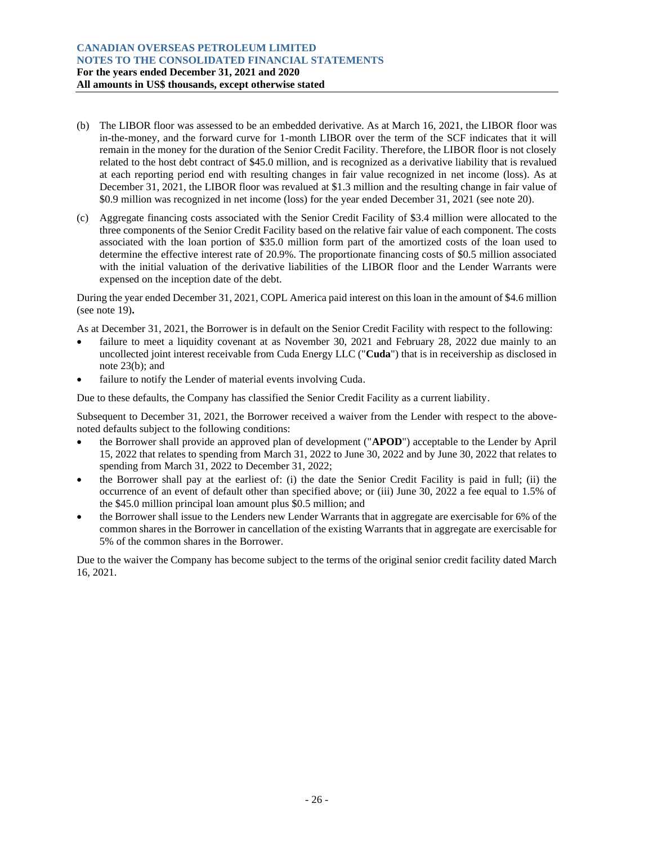- (b) The LIBOR floor was assessed to be an embedded derivative. As at March 16, 2021, the LIBOR floor was in-the-money, and the forward curve for 1-month LIBOR over the term of the SCF indicates that it will remain in the money for the duration of the Senior Credit Facility. Therefore, the LIBOR floor is not closely related to the host debt contract of \$45.0 million, and is recognized as a derivative liability that is revalued at each reporting period end with resulting changes in fair value recognized in net income (loss). As at December 31, 2021, the LIBOR floor was revalued at \$1.3 million and the resulting change in fair value of \$0.9 million was recognized in net income (loss) for the year ended December 31, 2021 (see note 20).
- (c) Aggregate financing costs associated with the Senior Credit Facility of \$3.4 million were allocated to the three components of the Senior Credit Facility based on the relative fair value of each component. The costs associated with the loan portion of \$35.0 million form part of the amortized costs of the loan used to determine the effective interest rate of 20.9%. The proportionate financing costs of \$0.5 million associated with the initial valuation of the derivative liabilities of the LIBOR floor and the Lender Warrants were expensed on the inception date of the debt.

During the year ended December 31, 2021, COPL America paid interest on this loan in the amount of \$4.6 million (see note 19)**.**

As at December 31, 2021, the Borrower is in default on the Senior Credit Facility with respect to the following:

- failure to meet a liquidity covenant at as November 30, 2021 and February 28, 2022 due mainly to an uncollected joint interest receivable from Cuda Energy LLC ("**Cuda**") that is in receivership as disclosed in note 23(b); and
- failure to notify the Lender of material events involving Cuda.

Due to these defaults, the Company has classified the Senior Credit Facility as a current liability.

Subsequent to December 31, 2021, the Borrower received a waiver from the Lender with respect to the abovenoted defaults subject to the following conditions:

- the Borrower shall provide an approved plan of development ("**APOD**") acceptable to the Lender by April 15, 2022 that relates to spending from March 31, 2022 to June 30, 2022 and by June 30, 2022 that relates to spending from March 31, 2022 to December 31, 2022;
- the Borrower shall pay at the earliest of: (i) the date the Senior Credit Facility is paid in full; (ii) the occurrence of an event of default other than specified above; or (iii) June 30, 2022 a fee equal to 1.5% of the \$45.0 million principal loan amount plus \$0.5 million; and
- the Borrower shall issue to the Lenders new Lender Warrants that in aggregate are exercisable for 6% of the common shares in the Borrower in cancellation of the existing Warrants that in aggregate are exercisable for 5% of the common shares in the Borrower.

Due to the waiver the Company has become subject to the terms of the original senior credit facility dated March 16, 2021.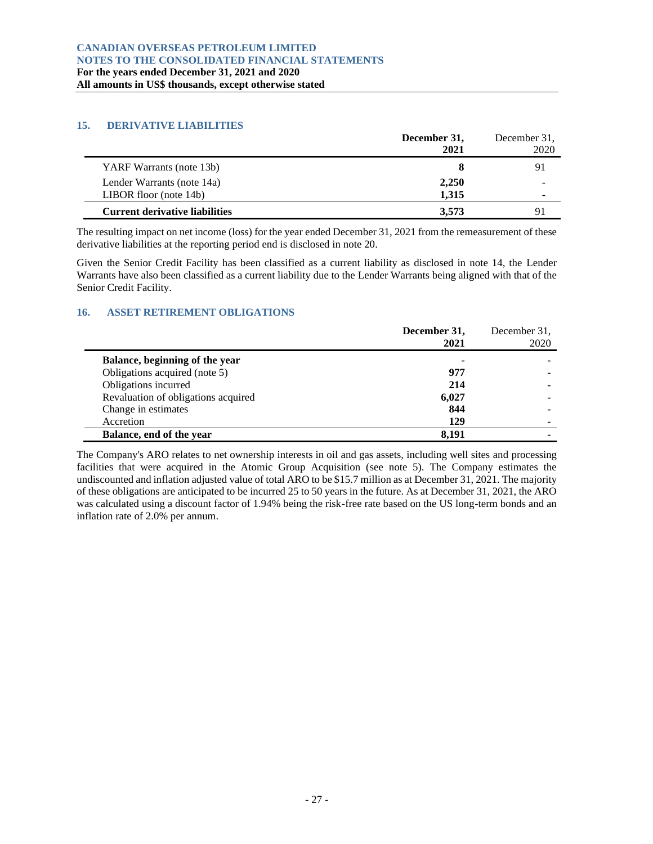#### **15. DERIVATIVE LIABILITIES**

|                                                         | December 31,<br>2021 | December 31,<br>2020 |
|---------------------------------------------------------|----------------------|----------------------|
| YARF Warrants (note 13b)                                |                      | 91                   |
| Lender Warrants (note 14a)<br>LIBOR floor (note $14b$ ) | 2,250<br>1.315       |                      |
| <b>Current derivative liabilities</b>                   | 3.573                | 91                   |

The resulting impact on net income (loss) for the year ended December 31, 2021 from the remeasurement of these derivative liabilities at the reporting period end is disclosed in note 20.

Given the Senior Credit Facility has been classified as a current liability as disclosed in note 14, the Lender Warrants have also been classified as a current liability due to the Lender Warrants being aligned with that of the Senior Credit Facility.

#### **16. ASSET RETIREMENT OBLIGATIONS**

|                                     | December 31,<br>2021 | December 31.<br>2020 |
|-------------------------------------|----------------------|----------------------|
| Balance, beginning of the year      |                      |                      |
| Obligations acquired (note 5)       | 977                  |                      |
| Obligations incurred                | 214                  |                      |
| Revaluation of obligations acquired | 6,027                |                      |
| Change in estimates                 | 844                  |                      |
| Accretion                           | 129                  |                      |
| Balance, end of the year            | 8.191                |                      |

The Company's ARO relates to net ownership interests in oil and gas assets, including well sites and processing facilities that were acquired in the Atomic Group Acquisition (see note 5). The Company estimates the undiscounted and inflation adjusted value of total ARO to be \$15.7 million as at December 31, 2021. The majority of these obligations are anticipated to be incurred 25 to 50 years in the future. As at December 31, 2021, the ARO was calculated using a discount factor of 1.94% being the risk-free rate based on the US long-term bonds and an inflation rate of 2.0% per annum.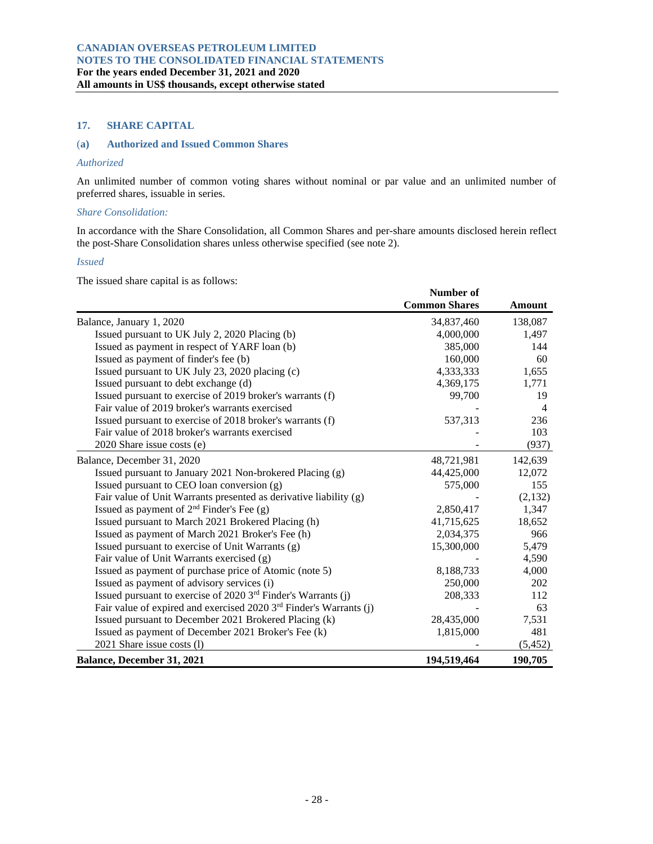## **17. SHARE CAPITAL**

## (**a) Authorized and Issued Common Shares**

#### *Authorized*

An unlimited number of common voting shares without nominal or par value and an unlimited number of preferred shares, issuable in series.

#### *Share Consolidation:*

In accordance with the Share Consolidation, all Common Shares and per-share amounts disclosed herein reflect the post-Share Consolidation shares unless otherwise specified (see note 2).

#### *Issued*

The issued share capital is as follows:

|                                                                    | Number of<br><b>Common Shares</b> | Amount         |
|--------------------------------------------------------------------|-----------------------------------|----------------|
| Balance, January 1, 2020                                           | 34,837,460                        | 138,087        |
| Issued pursuant to UK July 2, 2020 Placing (b)                     | 4,000,000                         | 1,497          |
| Issued as payment in respect of YARF loan (b)                      | 385,000                           | 144            |
| Issued as payment of finder's fee (b)                              | 160,000                           | 60             |
| Issued pursuant to UK July 23, 2020 placing (c)                    | 4,333,333                         | 1,655          |
| Issued pursuant to debt exchange (d)                               | 4,369,175                         | 1,771          |
| Issued pursuant to exercise of 2019 broker's warrants (f)          | 99,700                            | 19             |
| Fair value of 2019 broker's warrants exercised                     |                                   | $\overline{4}$ |
| Issued pursuant to exercise of 2018 broker's warrants (f)          | 537,313                           | 236            |
| Fair value of 2018 broker's warrants exercised                     |                                   | 103            |
| 2020 Share issue costs (e)                                         |                                   | (937)          |
| Balance, December 31, 2020                                         | 48,721,981                        | 142,639        |
| Issued pursuant to January 2021 Non-brokered Placing (g)           | 44,425,000                        | 12,072         |
| Issued pursuant to CEO loan conversion (g)                         | 575,000                           | 155            |
| Fair value of Unit Warrants presented as derivative liability (g)  |                                   | (2,132)        |
| Issued as payment of $2nd$ Finder's Fee (g)                        | 2,850,417                         | 1,347          |
| Issued pursuant to March 2021 Brokered Placing (h)                 | 41,715,625                        | 18,652         |
| Issued as payment of March 2021 Broker's Fee (h)                   | 2,034,375                         | 966            |
| Issued pursuant to exercise of Unit Warrants (g)                   | 15,300,000                        | 5,479          |
| Fair value of Unit Warrants exercised (g)                          |                                   | 4,590          |
| Issued as payment of purchase price of Atomic (note 5)             | 8,188,733                         | 4,000          |
| Issued as payment of advisory services (i)                         | 250,000                           | 202            |
| Issued pursuant to exercise of 2020 $3rd$ Finder's Warrants (j)    | 208,333                           | 112            |
| Fair value of expired and exercised 2020 3rd Finder's Warrants (j) |                                   | 63             |
| Issued pursuant to December 2021 Brokered Placing (k)              | 28,435,000                        | 7,531          |
| Issued as payment of December 2021 Broker's Fee (k)                | 1,815,000                         | 481            |
| 2021 Share issue costs (1)                                         |                                   | (5, 452)       |
| Balance, December 31, 2021                                         | 194,519,464                       | 190,705        |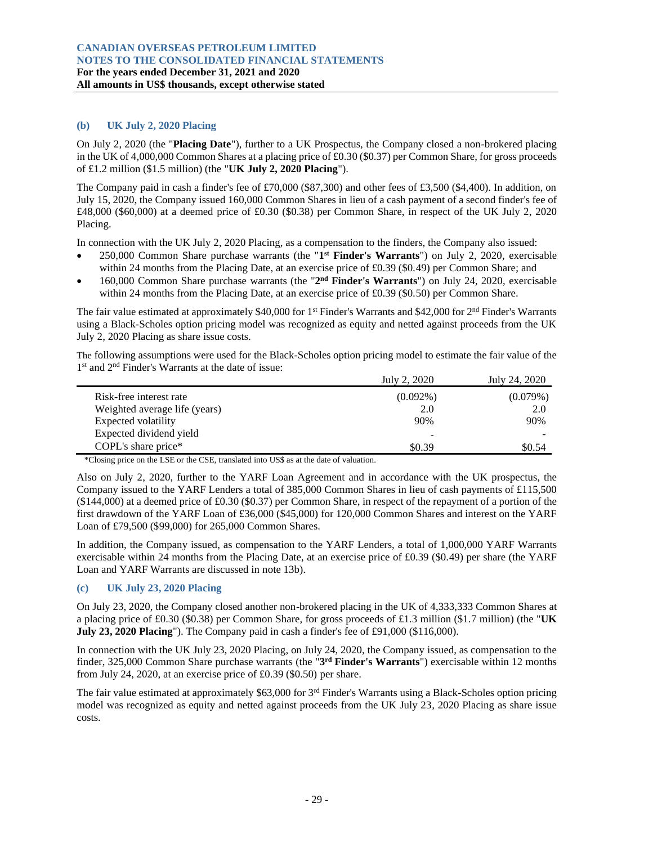#### **(b) UK July 2, 2020 Placing**

On July 2, 2020 (the "**Placing Date**"), further to a UK Prospectus, the Company closed a non-brokered placing in the UK of 4,000,000 Common Shares at a placing price of £0.30 (\$0.37) per Common Share, for gross proceeds of £1.2 million (\$1.5 million) (the "**UK July 2, 2020 Placing**").

The Company paid in cash a finder's fee of £70,000 (\$87,300) and other fees of £3,500 (\$4,400). In addition, on July 15, 2020, the Company issued 160,000 Common Shares in lieu of a cash payment of a second finder's fee of £48,000 (\$60,000) at a deemed price of £0.30 (\$0.38) per Common Share, in respect of the UK July 2, 2020 Placing.

In connection with the UK July 2, 2020 Placing, as a compensation to the finders, the Company also issued:

- 250,000 Common Share purchase warrants (the "**1 st Finder's Warrants**") on July 2, 2020, exercisable within 24 months from the Placing Date, at an exercise price of £0.39 (\$0.49) per Common Share; and
- 160,000 Common Share purchase warrants (the "2<sup>nd</sup> Finder's Warrants") on July 24, 2020, exercisable within 24 months from the Placing Date, at an exercise price of £0.39 (\$0.50) per Common Share.

The fair value estimated at approximately \$40,000 for  $1<sup>st</sup>$  Finder's Warrants and \$42,000 for  $2<sup>nd</sup>$  Finder's Warrants using a Black-Scholes option pricing model was recognized as equity and netted against proceeds from the UK July 2, 2020 Placing as share issue costs.

The following assumptions were used for the Black-Scholes option pricing model to estimate the fair value of the 1 st and 2nd Finder's Warrants at the date of issue:

|                               | July 2, 2020             | July 24, 2020 |
|-------------------------------|--------------------------|---------------|
| Risk-free interest rate       | $(0.092\%)$              | (0.079%)      |
| Weighted average life (years) | 2.0                      | 2.0           |
| Expected volatility           | 90%                      | 90%           |
| Expected dividend yield       | $\overline{\phantom{0}}$ |               |
| COPL's share price $*$        | \$0.39                   | \$0.54        |

\*Closing price on the LSE or the CSE, translated into US\$ as at the date of valuation.

Also on July 2, 2020, further to the YARF Loan Agreement and in accordance with the UK prospectus, the Company issued to the YARF Lenders a total of 385,000 Common Shares in lieu of cash payments of £115,500 (\$144,000) at a deemed price of £0.30 (\$0.37) per Common Share, in respect of the repayment of a portion of the first drawdown of the YARF Loan of £36,000 (\$45,000) for 120,000 Common Shares and interest on the YARF Loan of £79,500 (\$99,000) for 265,000 Common Shares.

In addition, the Company issued, as compensation to the YARF Lenders, a total of 1,000,000 YARF Warrants exercisable within 24 months from the Placing Date, at an exercise price of £0.39 (\$0.49) per share (the YARF Loan and YARF Warrants are discussed in note 13b).

## **(c) UK July 23, 2020 Placing**

On July 23, 2020, the Company closed another non-brokered placing in the UK of 4,333,333 Common Shares at a placing price of £0.30 (\$0.38) per Common Share, for gross proceeds of £1.3 million (\$1.7 million) (the "**UK July 23, 2020 Placing**"). The Company paid in cash a finder's fee of £91,000 (\$116,000).

In connection with the UK July 23, 2020 Placing, on July 24, 2020, the Company issued, as compensation to the finder, 325,000 Common Share purchase warrants (the "**3 rd Finder's Warrants**") exercisable within 12 months from July 24, 2020, at an exercise price of £0.39 (\$0.50) per share.

The fair value estimated at approximately \$63,000 for  $3<sup>rd</sup>$  Finder's Warrants using a Black-Scholes option pricing model was recognized as equity and netted against proceeds from the UK July 23, 2020 Placing as share issue costs.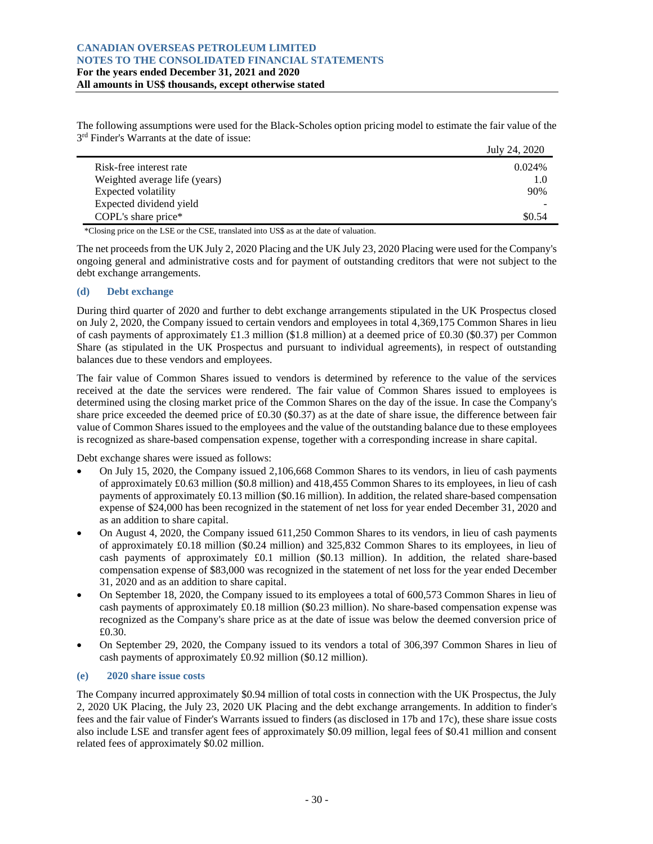The following assumptions were used for the Black-Scholes option pricing model to estimate the fair value of the 3<sup>rd</sup> Finder's Warrants at the date of issue:

|                               | July 24, 2020 |
|-------------------------------|---------------|
| Risk-free interest rate       | 0.024\%       |
| Weighted average life (years) | 1.0           |
| Expected volatility           | 90%           |
| Expected dividend yield       | -             |
| COPL's share price*           | \$0.54        |

\*Closing price on the LSE or the CSE, translated into US\$ as at the date of valuation.

The net proceeds from the UK July 2, 2020 Placing and the UK July 23, 2020 Placing were used for the Company's ongoing general and administrative costs and for payment of outstanding creditors that were not subject to the debt exchange arrangements.

## **(d) Debt exchange**

During third quarter of 2020 and further to debt exchange arrangements stipulated in the UK Prospectus closed on July 2, 2020, the Company issued to certain vendors and employees in total 4,369,175 Common Shares in lieu of cash payments of approximately £1.3 million (\$1.8 million) at a deemed price of £0.30 (\$0.37) per Common Share (as stipulated in the UK Prospectus and pursuant to individual agreements), in respect of outstanding balances due to these vendors and employees.

The fair value of Common Shares issued to vendors is determined by reference to the value of the services received at the date the services were rendered. The fair value of Common Shares issued to employees is determined using the closing market price of the Common Shares on the day of the issue. In case the Company's share price exceeded the deemed price of £0.30 (\$0.37) as at the date of share issue, the difference between fair value of Common Shares issued to the employees and the value of the outstanding balance due to these employees is recognized as share-based compensation expense, together with a corresponding increase in share capital.

Debt exchange shares were issued as follows:

- On July 15, 2020, the Company issued 2,106,668 Common Shares to its vendors, in lieu of cash payments of approximately £0.63 million (\$0.8 million) and 418,455 Common Shares to its employees, in lieu of cash payments of approximately £0.13 million (\$0.16 million). In addition, the related share-based compensation expense of \$24,000 has been recognized in the statement of net loss for year ended December 31, 2020 and as an addition to share capital.
- On August 4, 2020, the Company issued 611,250 Common Shares to its vendors, in lieu of cash payments of approximately £0.18 million (\$0.24 million) and 325,832 Common Shares to its employees, in lieu of cash payments of approximately £0.1 million (\$0.13 million). In addition, the related share-based compensation expense of \$83,000 was recognized in the statement of net loss for the year ended December 31, 2020 and as an addition to share capital.
- On September 18, 2020, the Company issued to its employees a total of 600,573 Common Shares in lieu of cash payments of approximately £0.18 million (\$0.23 million). No share-based compensation expense was recognized as the Company's share price as at the date of issue was below the deemed conversion price of £0.30.
- On September 29, 2020, the Company issued to its vendors a total of 306,397 Common Shares in lieu of cash payments of approximately £0.92 million (\$0.12 million).

#### **(e) 2020 share issue costs**

The Company incurred approximately \$0.94 million of total costs in connection with the UK Prospectus, the July 2, 2020 UK Placing, the July 23, 2020 UK Placing and the debt exchange arrangements. In addition to finder's fees and the fair value of Finder's Warrants issued to finders (as disclosed in 17b and 17c), these share issue costs also include LSE and transfer agent fees of approximately \$0.09 million, legal fees of \$0.41 million and consent related fees of approximately \$0.02 million.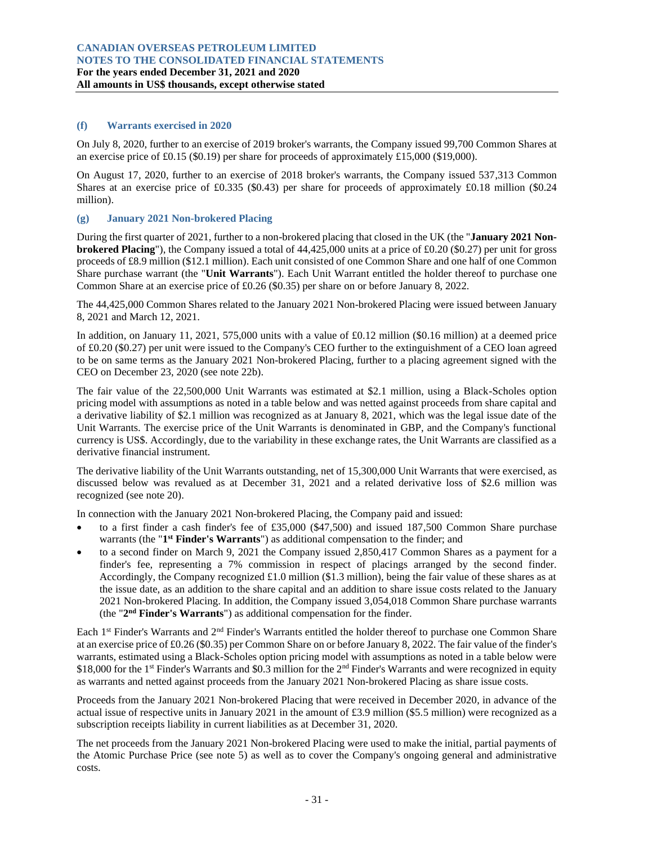#### **(f) Warrants exercised in 2020**

On July 8, 2020, further to an exercise of 2019 broker's warrants, the Company issued 99,700 Common Shares at an exercise price of £0.15 (\$0.19) per share for proceeds of approximately £15,000 (\$19,000).

On August 17, 2020, further to an exercise of 2018 broker's warrants, the Company issued 537,313 Common Shares at an exercise price of £0.335 (\$0.43) per share for proceeds of approximately £0.18 million (\$0.24 million).

#### **(g) January 2021 Non-brokered Placing**

During the first quarter of 2021, further to a non-brokered placing that closed in the UK (the "**January 2021 Nonbrokered Placing**"), the Company issued a total of 44,425,000 units at a price of £0.20 (\$0.27) per unit for gross proceeds of £8.9 million (\$12.1 million). Each unit consisted of one Common Share and one half of one Common Share purchase warrant (the "**Unit Warrants**"). Each Unit Warrant entitled the holder thereof to purchase one Common Share at an exercise price of £0.26 (\$0.35) per share on or before January 8, 2022.

The 44,425,000 Common Shares related to the January 2021 Non-brokered Placing were issued between January 8, 2021 and March 12, 2021.

In addition, on January 11, 2021, 575,000 units with a value of £0.12 million (\$0.16 million) at a deemed price of £0.20 (\$0.27) per unit were issued to the Company's CEO further to the extinguishment of a CEO loan agreed to be on same terms as the January 2021 Non-brokered Placing, further to a placing agreement signed with the CEO on December 23, 2020 (see note 22b).

The fair value of the 22,500,000 Unit Warrants was estimated at \$2.1 million, using a Black-Scholes option pricing model with assumptions as noted in a table below and was netted against proceeds from share capital and a derivative liability of \$2.1 million was recognized as at January 8, 2021, which was the legal issue date of the Unit Warrants. The exercise price of the Unit Warrants is denominated in GBP, and the Company's functional currency is US\$. Accordingly, due to the variability in these exchange rates, the Unit Warrants are classified as a derivative financial instrument.

The derivative liability of the Unit Warrants outstanding, net of 15,300,000 Unit Warrants that were exercised, as discussed below was revalued as at December 31, 2021 and a related derivative loss of \$2.6 million was recognized (see note 20).

In connection with the January 2021 Non-brokered Placing, the Company paid and issued:

- to a first finder a cash finder's fee of £35,000 (\$47,500) and issued 187,500 Common Share purchase warrants (the "**1 st Finder's Warrants**") as additional compensation to the finder; and
- to a second finder on March 9, 2021 the Company issued 2,850,417 Common Shares as a payment for a finder's fee, representing a 7% commission in respect of placings arranged by the second finder. Accordingly, the Company recognized £1.0 million (\$1.3 million), being the fair value of these shares as at the issue date, as an addition to the share capital and an addition to share issue costs related to the January 2021 Non-brokered Placing. In addition, the Company issued 3,054,018 Common Share purchase warrants (the "**2 nd Finder's Warrants**") as additional compensation for the finder.

Each 1st Finder's Warrants and 2nd Finder's Warrants entitled the holder thereof to purchase one Common Share at an exercise price of £0.26 (\$0.35) per Common Share on or before January 8, 2022. The fair value of the finder's warrants, estimated using a Black-Scholes option pricing model with assumptions as noted in a table below were \$18,000 for the 1<sup>st</sup> Finder's Warrants and \$0.3 million for the 2<sup>nd</sup> Finder's Warrants and were recognized in equity as warrants and netted against proceeds from the January 2021 Non-brokered Placing as share issue costs.

Proceeds from the January 2021 Non-brokered Placing that were received in December 2020, in advance of the actual issue of respective units in January 2021 in the amount of £3.9 million (\$5.5 million) were recognized as a subscription receipts liability in current liabilities as at December 31, 2020.

The net proceeds from the January 2021 Non-brokered Placing were used to make the initial, partial payments of the Atomic Purchase Price (see note 5) as well as to cover the Company's ongoing general and administrative costs.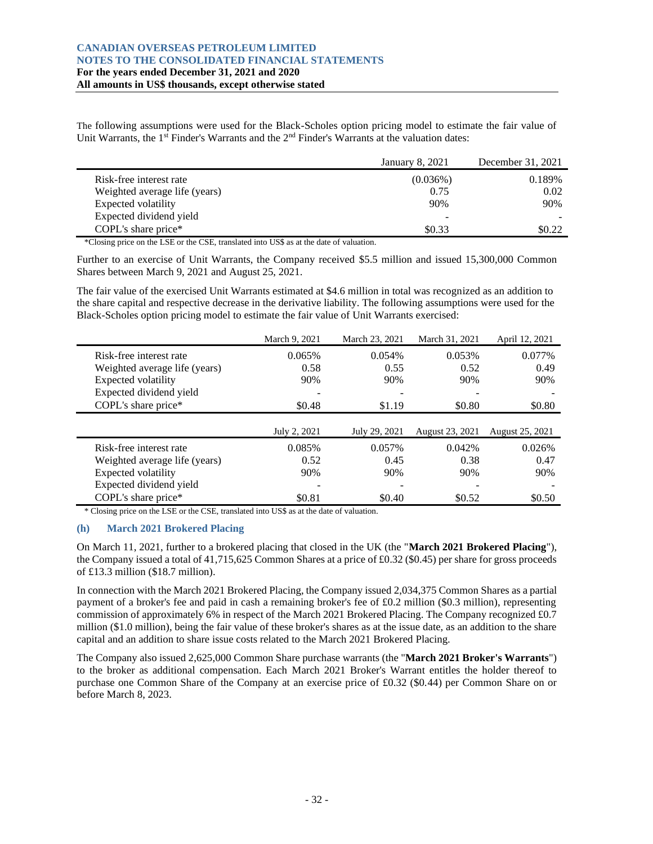The following assumptions were used for the Black-Scholes option pricing model to estimate the fair value of Unit Warrants, the  $1<sup>st</sup>$  Finder's Warrants and the  $2<sup>nd</sup>$  Finder's Warrants at the valuation dates:

|                               | January 8, 2021          | December 31, 2021 |
|-------------------------------|--------------------------|-------------------|
| Risk-free interest rate       | (0.036%)                 | 0.189%            |
| Weighted average life (years) | 0.75                     | 0.02              |
| Expected volatility           | 90%                      | 90%               |
| Expected dividend yield       | $\overline{\phantom{0}}$ |                   |
| COPL's share price $*$        | \$0.33                   | \$0.22            |

\*Closing price on the LSE or the CSE, translated into US\$ as at the date of valuation.

Further to an exercise of Unit Warrants, the Company received \$5.5 million and issued 15,300,000 Common Shares between March 9, 2021 and August 25, 2021.

The fair value of the exercised Unit Warrants estimated at \$4.6 million in total was recognized as an addition to the share capital and respective decrease in the derivative liability. The following assumptions were used for the Black-Scholes option pricing model to estimate the fair value of Unit Warrants exercised:

|                               | March 9, 2021 | March 23, 2021 | March 31, 2021  | April 12, 2021  |
|-------------------------------|---------------|----------------|-----------------|-----------------|
| Risk-free interest rate       | 0.065%        | 0.054%         | 0.053%          | 0.077%          |
| Weighted average life (years) | 0.58          | 0.55           | 0.52            | 0.49            |
| Expected volatility           | 90%           | 90%            | 90%             | 90%             |
| Expected dividend yield       |               |                |                 |                 |
| COPL's share price*           | \$0.48        | \$1.19         | \$0.80          | \$0.80          |
|                               |               |                |                 |                 |
|                               | July 2, 2021  | July 29, 2021  | August 23, 2021 | August 25, 2021 |
| Risk-free interest rate       | 0.085%        | 0.057%         | 0.042%          | 0.026%          |
| Weighted average life (years) | 0.52          | 0.45           | 0.38            | 0.47            |
| Expected volatility           | 90%           | 90%            | 90%             | 90%             |
| Expected dividend yield       |               |                |                 |                 |
| COPL's share price*           | \$0.81        | \$0.40         | \$0.52          | \$0.50          |

\* Closing price on the LSE or the CSE, translated into US\$ as at the date of valuation.

#### **(h) March 2021 Brokered Placing**

On March 11, 2021, further to a brokered placing that closed in the UK (the "**March 2021 Brokered Placing**"), the Company issued a total of 41,715,625 Common Shares at a price of £0.32 (\$0.45) per share for gross proceeds of £13.3 million (\$18.7 million).

In connection with the March 2021 Brokered Placing, the Company issued 2,034,375 Common Shares as a partial payment of a broker's fee and paid in cash a remaining broker's fee of £0.2 million (\$0.3 million), representing commission of approximately 6% in respect of the March 2021 Brokered Placing. The Company recognized £0.7 million (\$1.0 million), being the fair value of these broker's shares as at the issue date, as an addition to the share capital and an addition to share issue costs related to the March 2021 Brokered Placing.

The Company also issued 2,625,000 Common Share purchase warrants (the "**March 2021 Broker's Warrants**") to the broker as additional compensation. Each March 2021 Broker's Warrant entitles the holder thereof to purchase one Common Share of the Company at an exercise price of £0.32 (\$0.44) per Common Share on or before March 8, 2023.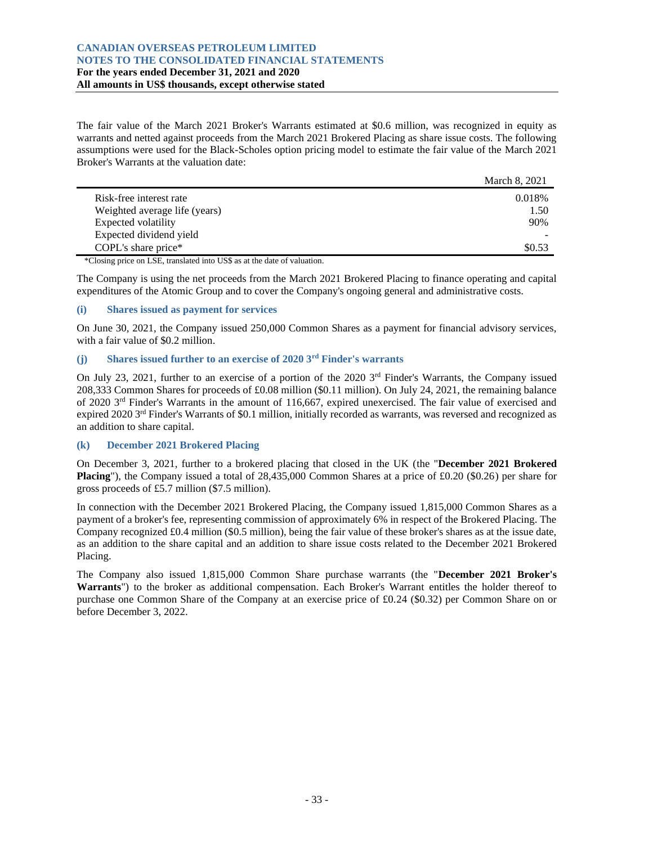The fair value of the March 2021 Broker's Warrants estimated at \$0.6 million, was recognized in equity as warrants and netted against proceeds from the March 2021 Brokered Placing as share issue costs. The following assumptions were used for the Black-Scholes option pricing model to estimate the fair value of the March 2021 Broker's Warrants at the valuation date:

|                                              | March 8, 2021 |
|----------------------------------------------|---------------|
| Risk-free interest rate                      | 0.018%        |
| Weighted average life (years)                | 1.50          |
| Expected volatility                          | 90%           |
| Expected dividend yield                      |               |
| COPL's share price*                          | \$0.53        |
| the contract of the contract of<br>____<br>. |               |

\*Closing price on LSE, translated into US\$ as at the date of valuation.

The Company is using the net proceeds from the March 2021 Brokered Placing to finance operating and capital expenditures of the Atomic Group and to cover the Company's ongoing general and administrative costs.

#### **(i) Shares issued as payment for services**

On June 30, 2021, the Company issued 250,000 Common Shares as a payment for financial advisory services, with a fair value of \$0.2 million.

## **(j) Shares issued further to an exercise of 2020 3rd Finder's warrants**

On July 23, 2021, further to an exercise of a portion of the 2020  $3<sup>rd</sup>$  Finder's Warrants, the Company issued 208,333 Common Shares for proceeds of £0.08 million (\$0.11 million). On July 24, 2021, the remaining balance of 2020 3rd Finder's Warrants in the amount of 116,667, expired unexercised. The fair value of exercised and expired 2020 3<sup>rd</sup> Finder's Warrants of \$0.1 million, initially recorded as warrants, was reversed and recognized as an addition to share capital.

## **(k) December 2021 Brokered Placing**

On December 3, 2021, further to a brokered placing that closed in the UK (the "**December 2021 Brokered Placing**"), the Company issued a total of 28,435,000 Common Shares at a price of £0.20 (\$0.26) per share for gross proceeds of £5.7 million (\$7.5 million).

In connection with the December 2021 Brokered Placing, the Company issued 1,815,000 Common Shares as a payment of a broker's fee, representing commission of approximately 6% in respect of the Brokered Placing. The Company recognized £0.4 million (\$0.5 million), being the fair value of these broker's shares as at the issue date, as an addition to the share capital and an addition to share issue costs related to the December 2021 Brokered Placing.

The Company also issued 1,815,000 Common Share purchase warrants (the "**December 2021 Broker's Warrants**") to the broker as additional compensation. Each Broker's Warrant entitles the holder thereof to purchase one Common Share of the Company at an exercise price of £0.24 (\$0.32) per Common Share on or before December 3, 2022.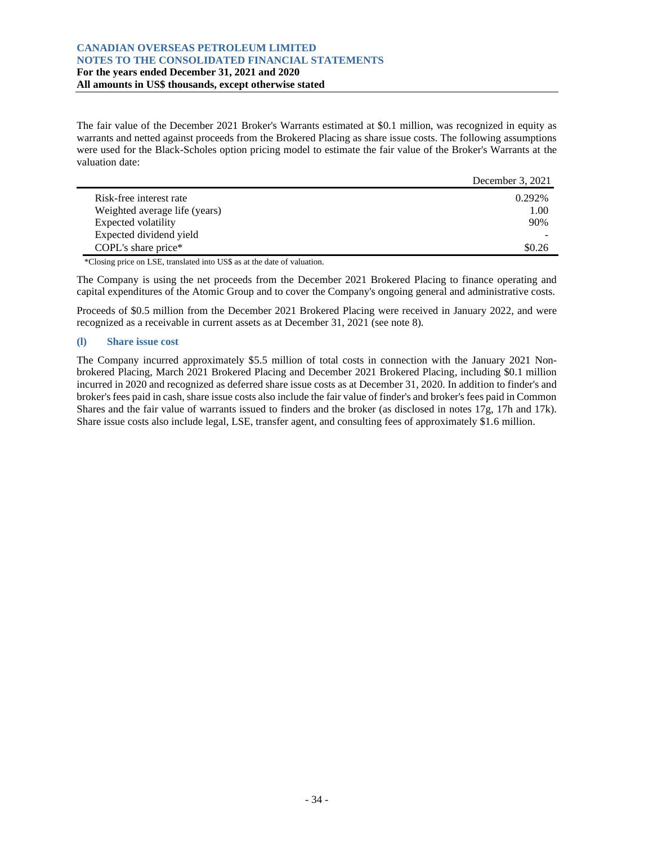The fair value of the December 2021 Broker's Warrants estimated at \$0.1 million, was recognized in equity as warrants and netted against proceeds from the Brokered Placing as share issue costs. The following assumptions were used for the Black-Scholes option pricing model to estimate the fair value of the Broker's Warrants at the valuation date:

|                               | December 3, 2021 |
|-------------------------------|------------------|
| Risk-free interest rate       | 0.292\%          |
| Weighted average life (years) | 1.00             |
| Expected volatility           | 90%              |
| Expected dividend yield       |                  |
| COPL's share price*           | \$0.26           |

\*Closing price on LSE, translated into US\$ as at the date of valuation.

The Company is using the net proceeds from the December 2021 Brokered Placing to finance operating and capital expenditures of the Atomic Group and to cover the Company's ongoing general and administrative costs.

Proceeds of \$0.5 million from the December 2021 Brokered Placing were received in January 2022, and were recognized as a receivable in current assets as at December 31, 2021 (see note 8).

#### **(l) Share issue cost**

The Company incurred approximately \$5.5 million of total costs in connection with the January 2021 Nonbrokered Placing, March 2021 Brokered Placing and December 2021 Brokered Placing, including \$0.1 million incurred in 2020 and recognized as deferred share issue costs as at December 31, 2020. In addition to finder's and broker's fees paid in cash, share issue costs also include the fair value of finder's and broker's fees paid in Common Shares and the fair value of warrants issued to finders and the broker (as disclosed in notes 17g, 17h and 17k). Share issue costs also include legal, LSE, transfer agent, and consulting fees of approximately \$1.6 million.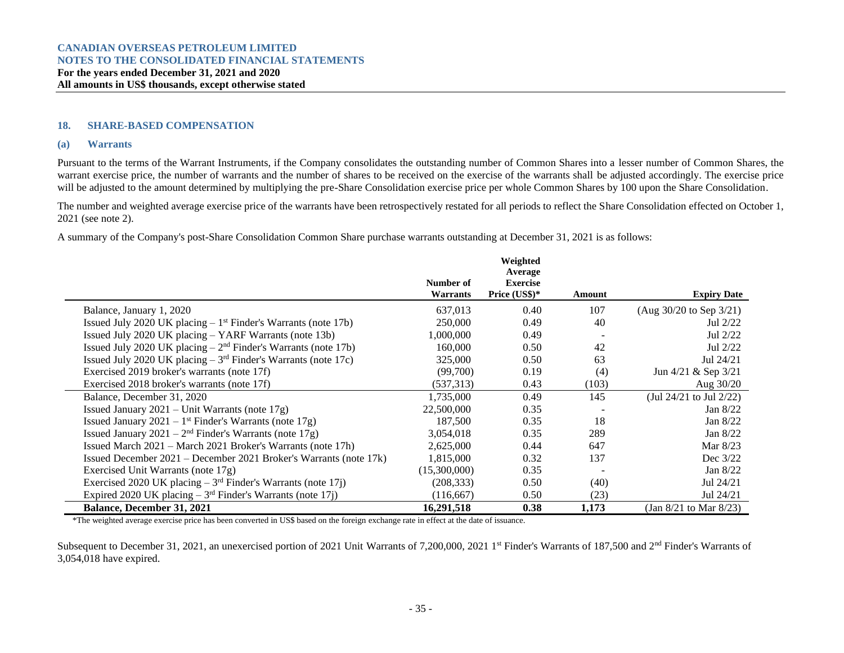#### **18. SHARE-BASED COMPENSATION**

#### **(a) Warrants**

Pursuant to the terms of the Warrant Instruments, if the Company consolidates the outstanding number of Common Shares into a lesser number of Common Shares, the warrant exercise price, the number of warrants and the number of shares to be received on the exercise of the warrants shall be adjusted accordingly. The exercise price will be adjusted to the amount determined by multiplying the pre-Share Consolidation exercise price per whole Common Shares by 100 upon the Share Consolidation.

The number and weighted average exercise price of the warrants have been retrospectively restated for all periods to reflect the Share Consolidation effected on October 1, 2021 (see note 2).

A summary of the Company's post-Share Consolidation Common Share purchase warrants outstanding at December 31, 2021 is as follows:

|                                                                     |                       | Weighted<br>Average              |        |                              |
|---------------------------------------------------------------------|-----------------------|----------------------------------|--------|------------------------------|
|                                                                     | Number of<br>Warrants | <b>Exercise</b><br>Price (US\$)* | Amount | <b>Expiry Date</b>           |
| Balance, January 1, 2020                                            | 637,013               | 0.40                             | 107    | (Aug $30/20$ to Sep $3/21$ ) |
| Issued July 2020 UK placing $-1^{st}$ Finder's Warrants (note 17b)  | 250,000               | 0.49                             | 40     | Jul 2/22                     |
| Issued July 2020 UK placing – YARF Warrants (note 13b)              | 1,000,000             | 0.49                             |        | Jul 2/22                     |
| Issued July 2020 UK placing $-2nd$ Finder's Warrants (note 17b)     | 160,000               | 0.50                             | 42     | Jul 2/22                     |
| Issued July 2020 UK placing $-3rd$ Finder's Warrants (note 17c)     | 325,000               | 0.50                             | 63     | Jul 24/21                    |
| Exercised 2019 broker's warrants (note 17f)                         | (99,700)              | 0.19                             | (4)    | Jun $4/21$ & Sep $3/21$      |
| Exercised 2018 broker's warrants (note 17f)                         | (537,313)             | 0.43                             | (103)  | Aug $30/20$                  |
| Balance, December 31, 2020                                          | 1,735,000             | 0.49                             | 145    | (Jul 24/21 to Jul 2/22)      |
| Issued January $2021 -$ Unit Warrants (note 17g)                    | 22,500,000            | 0.35                             |        | Jan $8/22$                   |
| Issued January 2021 – 1 <sup>st</sup> Finder's Warrants (note 17g)  | 187,500               | 0.35                             | 18     | Jan 8/22                     |
| Issued January 2021 – $2nd$ Finder's Warrants (note 17g)            | 3,054,018             | 0.35                             | 289    | Jan 8/22                     |
| Issued March 2021 – March 2021 Broker's Warrants (note 17h)         | 2,625,000             | 0.44                             | 647    | Mar 8/23                     |
| Issued December $2021$ – December 2021 Broker's Warrants (note 17k) | 1,815,000             | 0.32                             | 137    | Dec $3/22$                   |
| Exercised Unit Warrants (note 17g)                                  | (15,300,000)          | 0.35                             |        | Jan $8/22$                   |
| Exercised 2020 UK placing $-3^{rd}$ Finder's Warrants (note 17j)    | (208, 333)            | 0.50                             | (40)   | Jul 24/21                    |
| Expired 2020 UK placing $-3^{rd}$ Finder's Warrants (note 17j)      | (116,667)             | 0.50                             | (23)   | Jul 24/21                    |
| Balance, December 31, 2021                                          | 16,291,518            | 0.38                             | 1,173  | (Jan $8/21$ to Mar $8/23$ )  |

\*The weighted average exercise price has been converted in US\$ based on the foreign exchange rate in effect at the date of issuance.

Subsequent to December 31, 2021, an unexercised portion of 2021 Unit Warrants of 7,200,000, 2021 1<sup>st</sup> Finder's Warrants of 187,500 and 2<sup>nd</sup> Finder's Warrants of 3,054,018 have expired.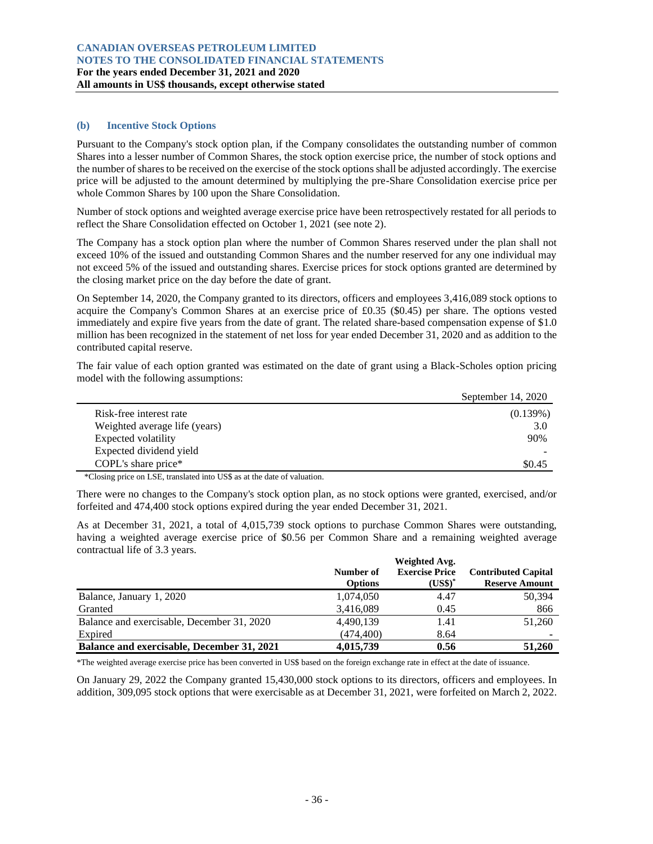#### **(b) Incentive Stock Options**

Pursuant to the Company's stock option plan, if the Company consolidates the outstanding number of common Shares into a lesser number of Common Shares, the stock option exercise price, the number of stock options and the number of shares to be received on the exercise of the stock options shall be adjusted accordingly. The exercise price will be adjusted to the amount determined by multiplying the pre-Share Consolidation exercise price per whole Common Shares by 100 upon the Share Consolidation.

Number of stock options and weighted average exercise price have been retrospectively restated for all periods to reflect the Share Consolidation effected on October 1, 2021 (see note 2).

The Company has a stock option plan where the number of Common Shares reserved under the plan shall not exceed 10% of the issued and outstanding Common Shares and the number reserved for any one individual may not exceed 5% of the issued and outstanding shares. Exercise prices for stock options granted are determined by the closing market price on the day before the date of grant.

On September 14, 2020, the Company granted to its directors, officers and employees 3,416,089 stock options to acquire the Company's Common Shares at an exercise price of £0.35 (\$0.45) per share. The options vested immediately and expire five years from the date of grant. The related share-based compensation expense of \$1.0 million has been recognized in the statement of net loss for year ended December 31, 2020 and as addition to the contributed capital reserve.

The fair value of each option granted was estimated on the date of grant using a Black-Scholes option pricing model with the following assumptions:

|                               | September 14, 2020 |
|-------------------------------|--------------------|
| Risk-free interest rate       | (0.139%)           |
| Weighted average life (years) | 3.0                |
| Expected volatility           | 90%                |
| Expected dividend yield       |                    |
| COPL's share price*           | \$0.45             |

\*Closing price on LSE, translated into US\$ as at the date of valuation.

There were no changes to the Company's stock option plan, as no stock options were granted, exercised, and/or forfeited and 474,400 stock options expired during the year ended December 31, 2021.

As at December 31, 2021, a total of 4,015,739 stock options to purchase Common Shares were outstanding, having a weighted average exercise price of \$0.56 per Common Share and a remaining weighted average contractual life of 3.3 years.

|                                            |                | Weighted Avg.         |                            |
|--------------------------------------------|----------------|-----------------------|----------------------------|
|                                            | Number of      | <b>Exercise Price</b> | <b>Contributed Capital</b> |
|                                            | <b>Options</b> | $(USS)^*$             | <b>Reserve Amount</b>      |
| Balance, January 1, 2020                   | 1,074,050      | 4.47                  | 50,394                     |
| Granted                                    | 3,416,089      | 0.45                  | 866                        |
| Balance and exercisable, December 31, 2020 | 4,490,139      | 1.41                  | 51,260                     |
| Expired                                    | (474.400)      | 8.64                  |                            |
| Balance and exercisable, December 31, 2021 | 4,015,739      | 0.56                  | 51,260                     |

\*The weighted average exercise price has been converted in US\$ based on the foreign exchange rate in effect at the date of issuance.

On January 29, 2022 the Company granted 15,430,000 stock options to its directors, officers and employees. In addition, 309,095 stock options that were exercisable as at December 31, 2021, were forfeited on March 2, 2022.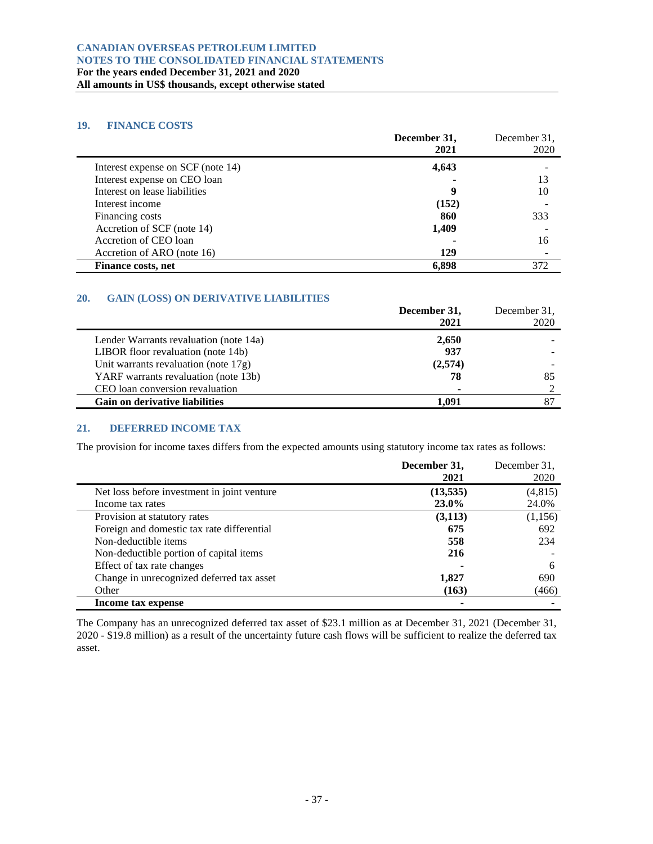# **CANADIAN OVERSEAS PETROLEUM LIMITED NOTES TO THE CONSOLIDATED FINANCIAL STATEMENTS For the years ended December 31, 2021 and 2020**

**All amounts in US\$ thousands, except otherwise stated**

## **19. FINANCE COSTS**

|                                   | December 31, | December 31, |
|-----------------------------------|--------------|--------------|
|                                   | 2021         | 2020         |
| Interest expense on SCF (note 14) | 4,643        |              |
| Interest expense on CEO loan      |              | 13           |
| Interest on lease liabilities     | 9            | 10           |
| Interest income                   | (152)        |              |
| Financing costs                   | 860          | 333          |
| Accretion of SCF (note 14)        | 1,409        |              |
| Accretion of CEO loan             |              | 16           |
| Accretion of ARO (note 16)        | 129          |              |
| <b>Finance costs, net</b>         | 6.898        | 372          |

#### **20. GAIN (LOSS) ON DERIVATIVE LIABILITIES**

|                                         | December 31,<br>2021 | December 31,<br>2020 |
|-----------------------------------------|----------------------|----------------------|
| Lender Warrants revaluation (note 14a)  | 2,650                |                      |
| LIBOR floor revaluation (note 14b)      | 937                  |                      |
| Unit warrants revaluation (note $17g$ ) | (2,574)              |                      |
| YARF warrants revaluation (note 13b)    | 78                   | 85                   |
| CEO loan conversion revaluation         |                      |                      |
| <b>Gain on derivative liabilities</b>   | 1.091                |                      |

## **21. DEFERRED INCOME TAX**

The provision for income taxes differs from the expected amounts using statutory income tax rates as follows:

|                                             | December 31,<br>2021 | December 31.<br>2020 |
|---------------------------------------------|----------------------|----------------------|
| Net loss before investment in joint venture | (13, 535)            | (4, 815)             |
| Income tax rates                            | 23.0%                | 24.0%                |
| Provision at statutory rates                | (3,113)              | (1,156)              |
| Foreign and domestic tax rate differential  | 675                  | 692                  |
| Non-deductible items                        | 558                  | 234                  |
| Non-deductible portion of capital items     | 216                  |                      |
| Effect of tax rate changes                  |                      | 6                    |
| Change in unrecognized deferred tax asset   | 1,827                | 690                  |
| Other                                       | (163)                | (466)                |
| Income tax expense                          |                      |                      |

The Company has an unrecognized deferred tax asset of \$23.1 million as at December 31, 2021 (December 31, 2020 - \$19.8 million) as a result of the uncertainty future cash flows will be sufficient to realize the deferred tax asset.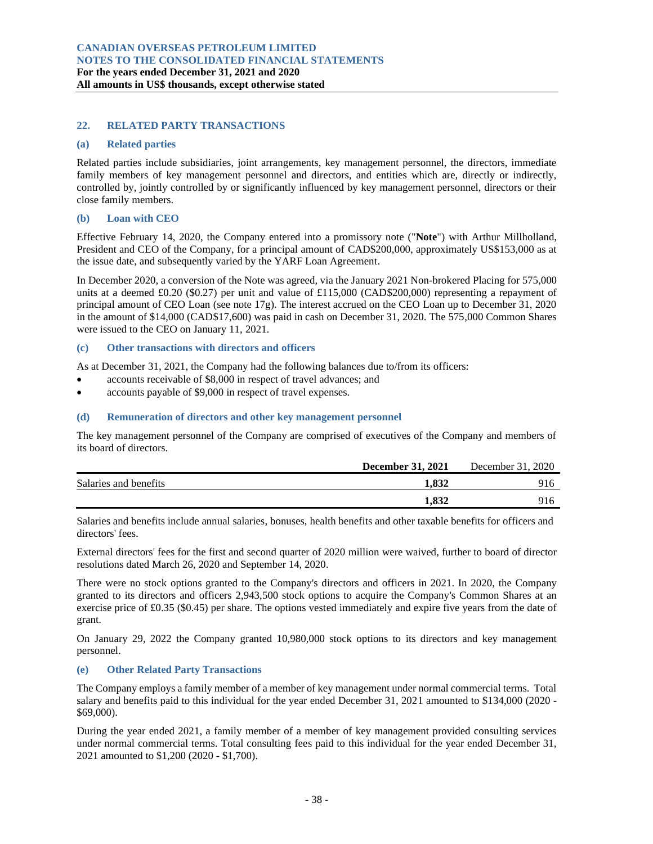#### **22. RELATED PARTY TRANSACTIONS**

#### **(a) Related parties**

Related parties include subsidiaries, joint arrangements, key management personnel, the directors, immediate family members of key management personnel and directors, and entities which are, directly or indirectly, controlled by, jointly controlled by or significantly influenced by key management personnel, directors or their close family members.

#### **(b) Loan with CEO**

Effective February 14, 2020, the Company entered into a promissory note ("**Note**") with Arthur Millholland, President and CEO of the Company, for a principal amount of CAD\$200,000, approximately US\$153,000 as at the issue date, and subsequently varied by the YARF Loan Agreement.

In December 2020, a conversion of the Note was agreed, via the January 2021 Non-brokered Placing for 575,000 units at a deemed £0.20 (\$0.27) per unit and value of £115,000 (CAD\$200,000) representing a repayment of principal amount of CEO Loan (see note 17g). The interest accrued on the CEO Loan up to December 31, 2020 in the amount of \$14,000 (CAD\$17,600) was paid in cash on December 31, 2020. The 575,000 Common Shares were issued to the CEO on January 11, 2021.

#### **(c) Other transactions with directors and officers**

As at December 31, 2021, the Company had the following balances due to/from its officers:

- accounts receivable of \$8,000 in respect of travel advances; and
- accounts payable of \$9,000 in respect of travel expenses.

#### **(d) Remuneration of directors and other key management personnel**

The key management personnel of the Company are comprised of executives of the Company and members of its board of directors.

|                       | <b>December 31, 2021</b> | December 31, 2020 |
|-----------------------|--------------------------|-------------------|
| Salaries and benefits | 1.832                    |                   |
|                       | 1.832                    |                   |

Salaries and benefits include annual salaries, bonuses, health benefits and other taxable benefits for officers and directors' fees.

External directors' fees for the first and second quarter of 2020 million were waived, further to board of director resolutions dated March 26, 2020 and September 14, 2020.

There were no stock options granted to the Company's directors and officers in 2021. In 2020, the Company granted to its directors and officers 2,943,500 stock options to acquire the Company's Common Shares at an exercise price of £0.35 (\$0.45) per share. The options vested immediately and expire five years from the date of grant.

On January 29, 2022 the Company granted 10,980,000 stock options to its directors and key management personnel.

#### **(e) Other Related Party Transactions**

The Company employs a family member of a member of key management under normal commercial terms. Total salary and benefits paid to this individual for the year ended December 31, 2021 amounted to \$134,000 (2020 - \$69,000).

During the year ended 2021, a family member of a member of key management provided consulting services under normal commercial terms. Total consulting fees paid to this individual for the year ended December 31, 2021 amounted to \$1,200 (2020 - \$1,700).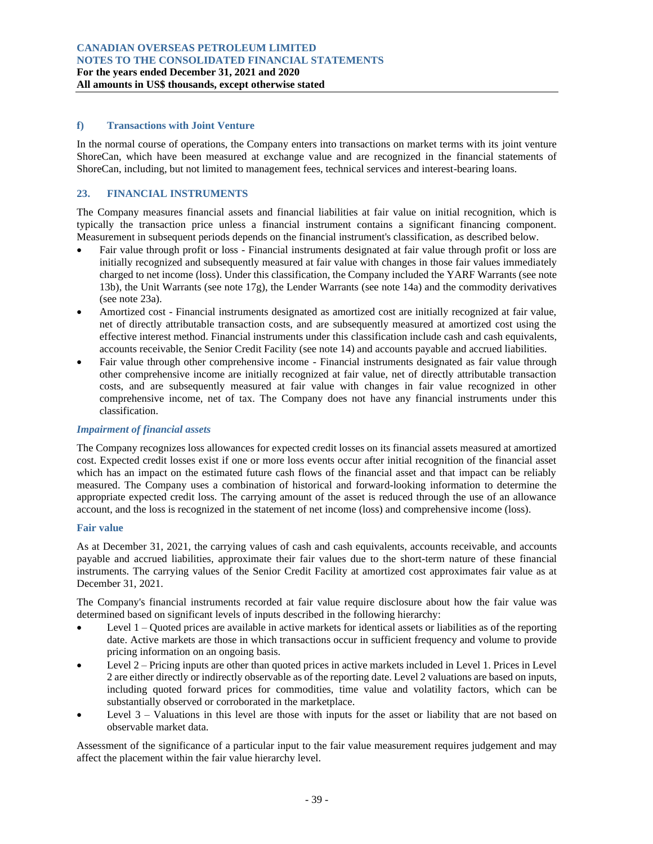#### **f) Transactions with Joint Venture**

In the normal course of operations, the Company enters into transactions on market terms with its joint venture ShoreCan, which have been measured at exchange value and are recognized in the financial statements of ShoreCan, including, but not limited to management fees, technical services and interest-bearing loans.

## **23. FINANCIAL INSTRUMENTS**

The Company measures financial assets and financial liabilities at fair value on initial recognition, which is typically the transaction price unless a financial instrument contains a significant financing component. Measurement in subsequent periods depends on the financial instrument's classification, as described below.

- Fair value through profit or loss Financial instruments designated at fair value through profit or loss are initially recognized and subsequently measured at fair value with changes in those fair values immediately charged to net income (loss). Under this classification, the Company included the YARF Warrants (see note 13b), the Unit Warrants (see note  $17g$ ), the Lender Warrants (see note 14a) and the commodity derivatives (see note 23a).
- Amortized cost Financial instruments designated as amortized cost are initially recognized at fair value, net of directly attributable transaction costs, and are subsequently measured at amortized cost using the effective interest method. Financial instruments under this classification include cash and cash equivalents, accounts receivable, the Senior Credit Facility (see note 14) and accounts payable and accrued liabilities.
- Fair value through other comprehensive income Financial instruments designated as fair value through other comprehensive income are initially recognized at fair value, net of directly attributable transaction costs, and are subsequently measured at fair value with changes in fair value recognized in other comprehensive income, net of tax. The Company does not have any financial instruments under this classification.

## *Impairment of financial assets*

The Company recognizes loss allowances for expected credit losses on its financial assets measured at amortized cost. Expected credit losses exist if one or more loss events occur after initial recognition of the financial asset which has an impact on the estimated future cash flows of the financial asset and that impact can be reliably measured. The Company uses a combination of historical and forward-looking information to determine the appropriate expected credit loss. The carrying amount of the asset is reduced through the use of an allowance account, and the loss is recognized in the statement of net income (loss) and comprehensive income (loss).

#### **Fair value**

As at December 31, 2021, the carrying values of cash and cash equivalents, accounts receivable, and accounts payable and accrued liabilities, approximate their fair values due to the short-term nature of these financial instruments. The carrying values of the Senior Credit Facility at amortized cost approximates fair value as at December 31, 2021.

The Company's financial instruments recorded at fair value require disclosure about how the fair value was determined based on significant levels of inputs described in the following hierarchy:

- Level 1 Quoted prices are available in active markets for identical assets or liabilities as of the reporting date. Active markets are those in which transactions occur in sufficient frequency and volume to provide pricing information on an ongoing basis.
- Level 2 Pricing inputs are other than quoted prices in active markets included in Level 1. Prices in Level 2 are either directly or indirectly observable as of the reporting date. Level 2 valuations are based on inputs, including quoted forward prices for commodities, time value and volatility factors, which can be substantially observed or corroborated in the marketplace.
- Level 3 Valuations in this level are those with inputs for the asset or liability that are not based on observable market data.

Assessment of the significance of a particular input to the fair value measurement requires judgement and may affect the placement within the fair value hierarchy level.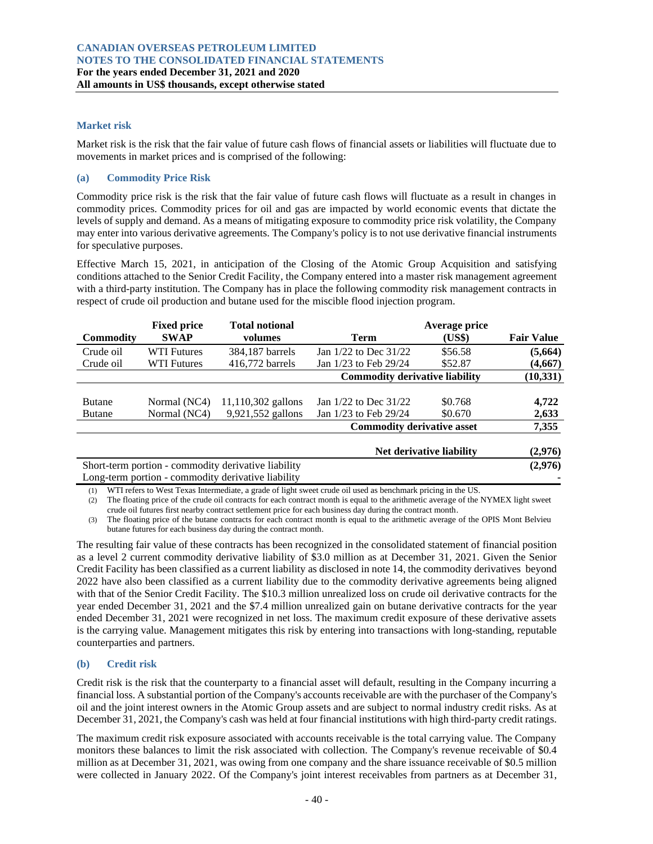#### **Market risk**

Market risk is the risk that the fair value of future cash flows of financial assets or liabilities will fluctuate due to movements in market prices and is comprised of the following:

#### **(a) Commodity Price Risk**

Commodity price risk is the risk that the fair value of future cash flows will fluctuate as a result in changes in commodity prices. Commodity prices for oil and gas are impacted by world economic events that dictate the levels of supply and demand. As a means of mitigating exposure to commodity price risk volatility, the Company may enter into various derivative agreements. The Company's policy is to not use derivative financial instruments for speculative purposes.

Effective March 15, 2021, in anticipation of the Closing of the Atomic Group Acquisition and satisfying conditions attached to the Senior Credit Facility, the Company entered into a master risk management agreement with a third-party institution. The Company has in place the following commodity risk management contracts in respect of crude oil production and butane used for the miscible flood injection program.

|                  | <b>Fixed price</b> | <b>Total notional</b> |                                       | Average price            |                   |
|------------------|--------------------|-----------------------|---------------------------------------|--------------------------|-------------------|
| <b>Commodity</b> | <b>SWAP</b>        | volumes               | Term                                  | (US\$)                   | <b>Fair Value</b> |
| Crude oil        | <b>WTI Futures</b> | 384.187 barrels       | Jan 1/22 to Dec 31/22                 | \$56.58                  | (5,664)           |
| Crude oil        | <b>WTI Futures</b> | 416,772 barrels       | Jan 1/23 to Feb 29/24                 | \$52.87                  | (4,667)           |
|                  |                    |                       | <b>Commodity derivative liability</b> |                          | (10, 331)         |
|                  |                    |                       |                                       |                          |                   |
| Butane           | Normal (NC4)       | 11,110,302 gallons    | Jan 1/22 to Dec 31/22                 | \$0.768                  | 4,722             |
| Butane           | Normal (NC4)       | 9,921,552 gallons     | Jan 1/23 to Feb 29/24                 | \$0.670                  | 2,633             |
|                  |                    |                       | <b>Commodity derivative asset</b>     |                          | 7,355             |
|                  |                    |                       |                                       | Net derivative liability | (2,976)           |

Short-term portion - commodity derivative liability **(2,976)** (2,976) Long-term portion - commodity derivative liability

(1) WTI refers to West Texas Intermediate, a grade of light sweet crude oil used as benchmark pricing in the US.

(2) The floating price of the crude oil contracts for each contract month is equal to the arithmetic average of the NYMEX light sweet

crude oil futures first nearby contract settlement price for each business day during the contract month.

(3) The floating price of the butane contracts for each contract month is equal to the arithmetic average of the OPIS Mont Belvieu butane futures for each business day during the contract month.

The resulting fair value of these contracts has been recognized in the consolidated statement of financial position as a level 2 current commodity derivative liability of \$3.0 million as at December 31, 2021. Given the Senior Credit Facility has been classified as a current liability as disclosed in note 14, the commodity derivatives beyond 2022 have also been classified as a current liability due to the commodity derivative agreements being aligned with that of the Senior Credit Facility. The \$10.3 million unrealized loss on crude oil derivative contracts for the year ended December 31, 2021 and the \$7.4 million unrealized gain on butane derivative contracts for the year ended December 31, 2021 were recognized in net loss. The maximum credit exposure of these derivative assets is the carrying value. Management mitigates this risk by entering into transactions with long-standing, reputable counterparties and partners.

#### **(b) Credit risk**

Credit risk is the risk that the counterparty to a financial asset will default, resulting in the Company incurring a financial loss. A substantial portion of the Company's accountsreceivable are with the purchaser of the Company's oil and the joint interest owners in the Atomic Group assets and are subject to normal industry credit risks. As at December 31, 2021, the Company's cash was held at four financial institutions with high third-party credit ratings.

The maximum credit risk exposure associated with accounts receivable is the total carrying value. The Company monitors these balances to limit the risk associated with collection. The Company's revenue receivable of \$0.4 million as at December 31, 2021, was owing from one company and the share issuance receivable of \$0.5 million were collected in January 2022. Of the Company's joint interest receivables from partners as at December 31,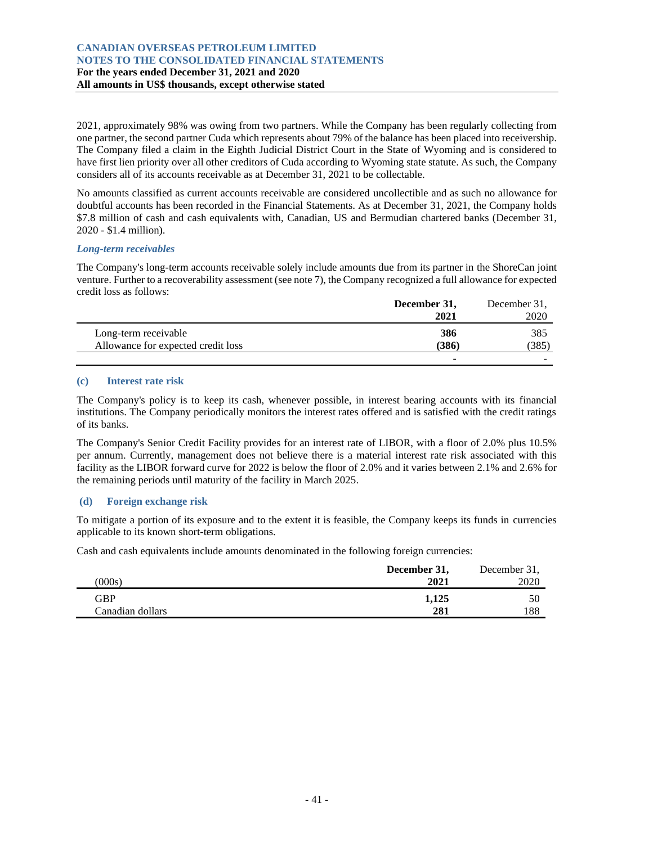2021, approximately 98% was owing from two partners. While the Company has been regularly collecting from one partner, the second partner Cuda which represents about 79% of the balance has been placed into receivership. The Company filed a claim in the Eighth Judicial District Court in the State of Wyoming and is considered to have first lien priority over all other creditors of Cuda according to Wyoming state statute. As such, the Company considers all of its accounts receivable as at December 31, 2021 to be collectable.

No amounts classified as current accounts receivable are considered uncollectible and as such no allowance for doubtful accounts has been recorded in the Financial Statements. As at December 31, 2021, the Company holds \$7.8 million of cash and cash equivalents with, Canadian, US and Bermudian chartered banks (December 31, 2020 - \$1.4 million).

#### *Long-term receivables*

The Company's long-term accounts receivable solely include amounts due from its partner in the ShoreCan joint venture. Further to a recoverability assessment (see note 7), the Company recognized a full allowance for expected credit loss as follows:

|                                    | December 31, | December 31,  |
|------------------------------------|--------------|---------------|
|                                    | 2021         | 2020          |
| Long-term receivable               | 386          | 385           |
| Allowance for expected credit loss | 386          | $385^{\circ}$ |
|                                    |              |               |

#### **(c) Interest rate risk**

The Company's policy is to keep its cash, whenever possible, in interest bearing accounts with its financial institutions. The Company periodically monitors the interest rates offered and is satisfied with the credit ratings of its banks.

The Company's Senior Credit Facility provides for an interest rate of LIBOR, with a floor of 2.0% plus 10.5% per annum. Currently, management does not believe there is a material interest rate risk associated with this facility as the LIBOR forward curve for 2022 is below the floor of 2.0% and it varies between 2.1% and 2.6% for the remaining periods until maturity of the facility in March 2025.

## **(d) Foreign exchange risk**

To mitigate a portion of its exposure and to the extent it is feasible, the Company keeps its funds in currencies applicable to its known short-term obligations.

Cash and cash equivalents include amounts denominated in the following foreign currencies:

| (000s)           | December 31,<br>2021 | December 31,<br>2020 |
|------------------|----------------------|----------------------|
|                  |                      |                      |
| <b>GBP</b>       | 1,125                | 50                   |
| Canadian dollars | 281                  | 188                  |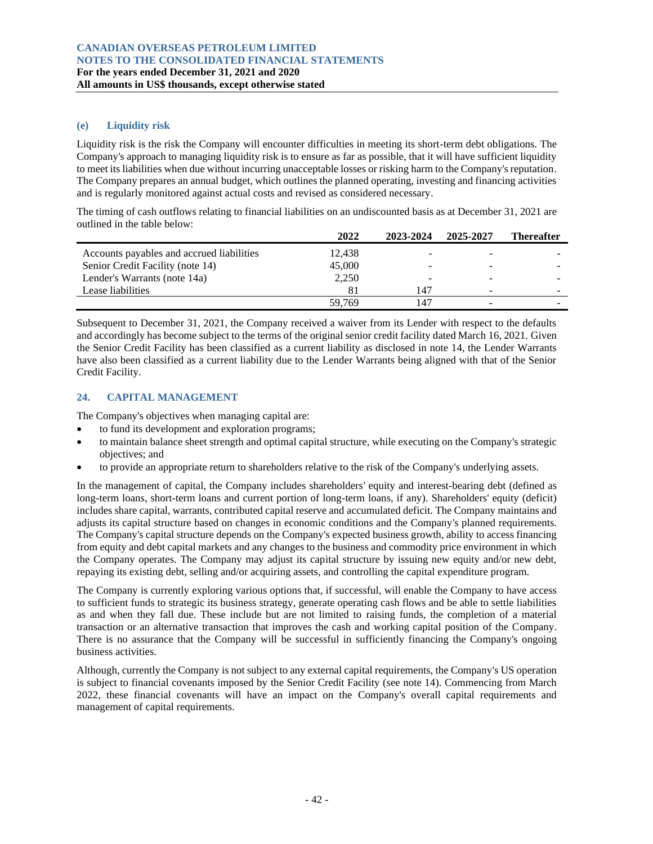#### **(e) Liquidity risk**

Liquidity risk is the risk the Company will encounter difficulties in meeting its short-term debt obligations. The Company's approach to managing liquidity risk is to ensure as far as possible, that it will have sufficient liquidity to meet its liabilities when due without incurring unacceptable losses or risking harm to the Company's reputation. The Company prepares an annual budget, which outlines the planned operating, investing and financing activities and is regularly monitored against actual costs and revised as considered necessary.

The timing of cash outflows relating to financial liabilities on an undiscounted basis as at December 31, 2021 are outlined in the table below:

|                                           | 2022   | 2023-2024 | 2025-2027 | <b>Thereafter</b> |
|-------------------------------------------|--------|-----------|-----------|-------------------|
| Accounts payables and accrued liabilities | 12.438 |           |           |                   |
| Senior Credit Facility (note 14)          | 45,000 |           |           |                   |
| Lender's Warrants (note 14a)              | 2,250  |           |           |                   |
| Lease liabilities                         | 81     | 147       | -         |                   |
|                                           | 59.769 | 147       |           |                   |

Subsequent to December 31, 2021, the Company received a waiver from its Lender with respect to the defaults and accordingly has become subject to the terms of the original senior credit facility dated March 16, 2021. Given the Senior Credit Facility has been classified as a current liability as disclosed in note 14, the Lender Warrants have also been classified as a current liability due to the Lender Warrants being aligned with that of the Senior Credit Facility.

#### **24. CAPITAL MANAGEMENT**

The Company's objectives when managing capital are:

- to fund its development and exploration programs;
- to maintain balance sheet strength and optimal capital structure, while executing on the Company's strategic objectives; and
- to provide an appropriate return to shareholders relative to the risk of the Company's underlying assets.

In the management of capital, the Company includes shareholders' equity and interest-bearing debt (defined as long-term loans, short-term loans and current portion of long-term loans, if any). Shareholders' equity (deficit) includes share capital, warrants, contributed capital reserve and accumulated deficit. The Company maintains and adjusts its capital structure based on changes in economic conditions and the Company's planned requirements. The Company's capital structure depends on the Company's expected business growth, ability to access financing from equity and debt capital markets and any changes to the business and commodity price environment in which the Company operates. The Company may adjust its capital structure by issuing new equity and/or new debt, repaying its existing debt, selling and/or acquiring assets, and controlling the capital expenditure program.

The Company is currently exploring various options that, if successful, will enable the Company to have access to sufficient funds to strategic its business strategy, generate operating cash flows and be able to settle liabilities as and when they fall due. These include but are not limited to raising funds, the completion of a material transaction or an alternative transaction that improves the cash and working capital position of the Company. There is no assurance that the Company will be successful in sufficiently financing the Company's ongoing business activities.

Although, currently the Company is not subject to any external capital requirements, the Company's US operation is subject to financial covenants imposed by the Senior Credit Facility (see note 14). Commencing from March 2022, these financial covenants will have an impact on the Company's overall capital requirements and management of capital requirements.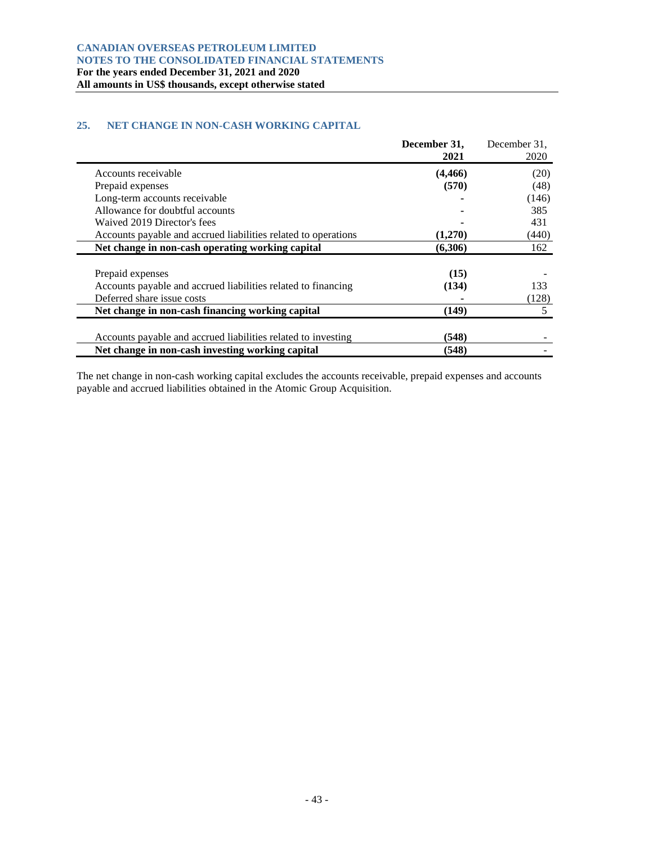## **25. NET CHANGE IN NON-CASH WORKING CAPITAL**

|                                                                | December 31, | December 31. |
|----------------------------------------------------------------|--------------|--------------|
|                                                                | 2021         | 2020         |
| Accounts receivable                                            | (4, 466)     | (20)         |
| Prepaid expenses                                               | (570)        | (48)         |
| Long-term accounts receivable                                  |              | (146)        |
| Allowance for doubtful accounts                                |              | 385          |
| Waived 2019 Director's fees                                    |              | 431          |
| Accounts payable and accrued liabilities related to operations | (1,270)      | (440)        |
| Net change in non-cash operating working capital               | (6,306)      | 162          |
|                                                                |              |              |
| Prepaid expenses                                               | (15)         |              |
| Accounts payable and accrued liabilities related to financing  | (134)        | 133          |
| Deferred share issue costs                                     |              | (128)        |
| Net change in non-cash financing working capital               | (149)        | 5            |
|                                                                |              |              |
| Accounts payable and accrued liabilities related to investing  | (548)        |              |
| Net change in non-cash investing working capital               | (548)        |              |

The net change in non-cash working capital excludes the accounts receivable, prepaid expenses and accounts payable and accrued liabilities obtained in the Atomic Group Acquisition.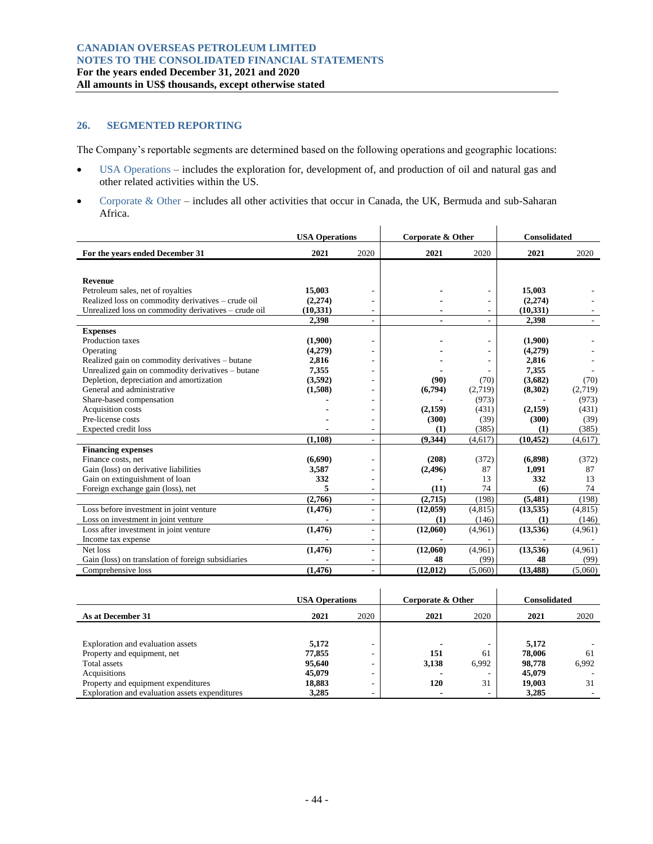## **26. SEGMENTED REPORTING**

The Company's reportable segments are determined based on the following operations and geographic locations:

- USA Operations includes the exploration for, development of, and production of oil and natural gas and other related activities within the US.
- Corporate & Other includes all other activities that occur in Canada, the UK, Bermuda and sub-Saharan Africa.

|                                                      | <b>USA Operations</b> |                          | Corporate & Other |          | <b>Consolidated</b> |          |
|------------------------------------------------------|-----------------------|--------------------------|-------------------|----------|---------------------|----------|
| For the years ended December 31                      | 2021                  | 2020                     | 2021              | 2020     | 2021                | 2020     |
|                                                      |                       |                          |                   |          |                     |          |
| <b>Revenue</b>                                       |                       |                          |                   |          |                     |          |
| Petroleum sales, net of royalties                    | 15,003                |                          |                   |          | 15,003              |          |
| Realized loss on commodity derivatives - crude oil   | (2,274)               |                          |                   |          | (2,274)             |          |
| Unrealized loss on commodity derivatives – crude oil | (10, 331)             | ٠                        |                   |          | (10, 331)           |          |
|                                                      | 2,398                 | $\overline{\phantom{a}}$ |                   |          | 2,398               |          |
| <b>Expenses</b>                                      |                       |                          |                   |          |                     |          |
| Production taxes                                     | (1,900)               | $\overline{\phantom{a}}$ |                   |          | (1,900)             |          |
| Operating                                            | (4,279)               | $\overline{\phantom{a}}$ |                   |          | (4,279)             |          |
| Realized gain on commodity derivatives – butane      | 2,816                 | $\overline{\phantom{a}}$ |                   |          | 2,816               |          |
| Unrealized gain on commodity derivatives - butane    | 7,355                 | ÷                        |                   |          | 7,355               |          |
| Depletion, depreciation and amortization             | (3,592)               | ٠                        | (90)              | (70)     | (3,682)             | (70)     |
| General and administrative                           | (1,508)               | $\overline{\phantom{a}}$ | (6,794)           | (2,719)  | (8,302)             | (2,719)  |
| Share-based compensation                             |                       | $\overline{\phantom{a}}$ |                   | (973)    |                     | (973)    |
| Acquisition costs                                    |                       | $\overline{\phantom{a}}$ | (2,159)           | (431)    | (2,159)             | (431)    |
| Pre-license costs                                    |                       | ٠                        | (300)             | (39)     | (300)               | (39)     |
| <b>Expected credit loss</b>                          |                       | $\overline{\phantom{a}}$ | (1)               | (385)    | (1)                 | (385)    |
|                                                      | (1,108)               | $\overline{\phantom{a}}$ | (9,344)           | (4,617)  | (10, 452)           | (4,617)  |
| <b>Financing expenses</b>                            |                       |                          |                   |          |                     |          |
| Finance costs, net                                   | (6,690)               | $\overline{\phantom{a}}$ | (208)             | (372)    | (6,898)             | (372)    |
| Gain (loss) on derivative liabilities                | 3,587                 | ٠                        | (2, 496)          | 87       | 1,091               | 87       |
| Gain on extinguishment of loan                       | 332                   | $\overline{\phantom{a}}$ |                   | 13       | 332                 | 13       |
| Foreign exchange gain (loss), net                    | 5                     | $\overline{\phantom{a}}$ | (11)              | 74       | (6)                 | 74       |
|                                                      | (2.766)               | $\overline{\phantom{a}}$ | (2,715)           | (198)    | (5, 481)            | (198)    |
| Loss before investment in joint venture              | (1, 476)              | $\overline{\phantom{a}}$ | (12,059)          | (4, 815) | (13,535)            | (4, 815) |
| Loss on investment in joint venture                  |                       | $\overline{\phantom{a}}$ | (1)               | (146)    | (1)                 | (146)    |
| Loss after investment in joint venture               | (1, 476)              | $\overline{\phantom{a}}$ | (12,060)          | (4,961)  | (13, 536)           | (4,961)  |
| Income tax expense                                   |                       | $\overline{\phantom{a}}$ |                   |          |                     |          |
| Net loss                                             | (1, 476)              | $\overline{\phantom{a}}$ | (12,060)          | (4,961)  | (13,536)            | (4,961)  |
| Gain (loss) on translation of foreign subsidiaries   |                       | ٠                        | 48                | (99)     | 48                  | (99)     |
| Comprehensive loss                                   | (1, 476)              | $\overline{\phantom{a}}$ | (12, 012)         | (5,060)  | (13, 488)           | (5,060)  |

|                                                | <b>USA Operations</b> |      | Corporate & Other |       | <b>Consolidated</b> |       |
|------------------------------------------------|-----------------------|------|-------------------|-------|---------------------|-------|
| As at December 31                              | 2021                  | 2020 | 2021              | 2020  | 2021                | 2020  |
|                                                |                       |      |                   |       |                     |       |
| Exploration and evaluation assets              | 5.172                 | ۰    |                   |       | 5.172               |       |
| Property and equipment, net                    | 77,855                |      | 151               | 61    | 78,006              | 61    |
| Total assets                                   | 95,640                |      | 3,138             | 6.992 | 98,778              | 6,992 |
| Acquisitions                                   | 45,079                | -    |                   |       | 45,079              |       |
| Property and equipment expenditures            | 18,883                | -    | 120               | 31    | 19,003              | 31    |
| Exploration and evaluation assets expenditures | 3.285                 |      |                   |       | 3.285               |       |